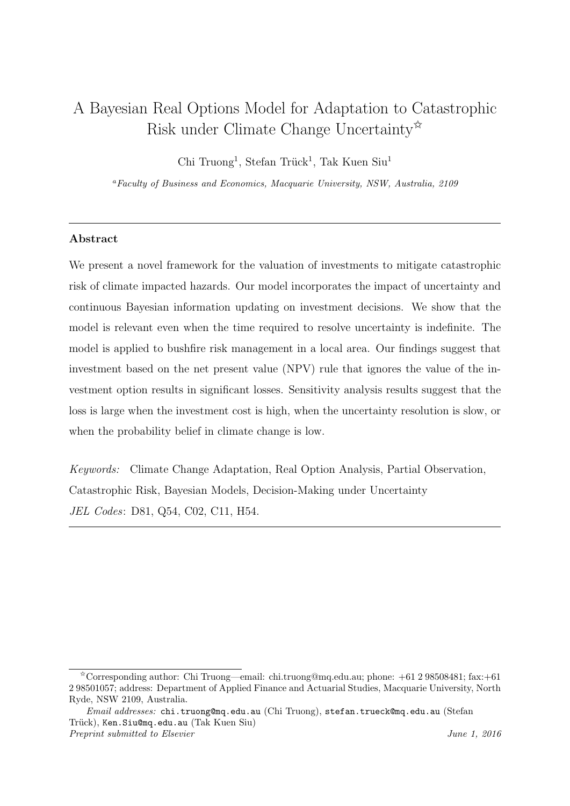# A Bayesian Real Options Model for Adaptation to Catastrophic Risk under Climate Change Uncertainty $\mathbf{\hat{x}}$

Chi Truong<sup>1</sup>, Stefan Trück<sup>1</sup>, Tak Kuen Siu<sup>1</sup>

<sup>a</sup>Faculty of Business and Economics, Macquarie University, NSW, Australia, 2109

# Abstract

We present a novel framework for the valuation of investments to mitigate catastrophic risk of climate impacted hazards. Our model incorporates the impact of uncertainty and continuous Bayesian information updating on investment decisions. We show that the model is relevant even when the time required to resolve uncertainty is indefinite. The model is applied to bushfire risk management in a local area. Our findings suggest that investment based on the net present value (NPV) rule that ignores the value of the investment option results in significant losses. Sensitivity analysis results suggest that the loss is large when the investment cost is high, when the uncertainty resolution is slow, or when the probability belief in climate change is low.

Keywords: Climate Change Adaptation, Real Option Analysis, Partial Observation, Catastrophic Risk, Bayesian Models, Decision-Making under Uncertainty JEL Codes: D81, Q54, C02, C11, H54.

<sup>✩</sup>Corresponding author: Chi Truong—email: chi.truong@mq.edu.au; phone: +61 2 98508481; fax:+61 2 98501057; address: Department of Applied Finance and Actuarial Studies, Macquarie University, North Ryde, NSW 2109, Australia.

Email addresses: chi.truong@mq.edu.au (Chi Truong), stefan.trueck@mq.edu.au (Stefan Trück), Ken.Siu@mq.edu.au (Tak Kuen Siu) Preprint submitted to Elsevier Superior Contract to Elsevier All the U.S. 2016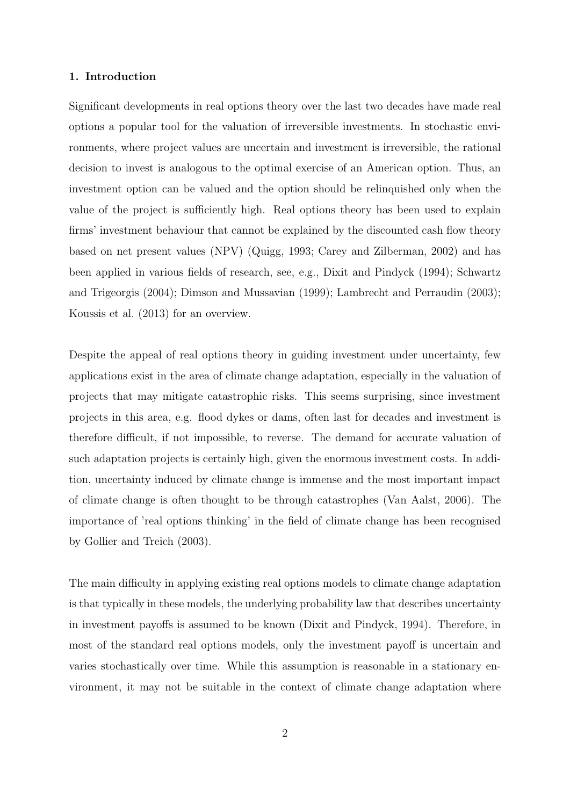# 1. Introduction

Significant developments in real options theory over the last two decades have made real options a popular tool for the valuation of irreversible investments. In stochastic environments, where project values are uncertain and investment is irreversible, the rational decision to invest is analogous to the optimal exercise of an American option. Thus, an investment option can be valued and the option should be relinquished only when the value of the project is sufficiently high. Real options theory has been used to explain firms' investment behaviour that cannot be explained by the discounted cash flow theory based on net present values (NPV) (Quigg, 1993; Carey and Zilberman, 2002) and has been applied in various fields of research, see, e.g., Dixit and Pindyck (1994); Schwartz and Trigeorgis (2004); Dimson and Mussavian (1999); Lambrecht and Perraudin (2003); Koussis et al. (2013) for an overview.

Despite the appeal of real options theory in guiding investment under uncertainty, few applications exist in the area of climate change adaptation, especially in the valuation of projects that may mitigate catastrophic risks. This seems surprising, since investment projects in this area, e.g. flood dykes or dams, often last for decades and investment is therefore difficult, if not impossible, to reverse. The demand for accurate valuation of such adaptation projects is certainly high, given the enormous investment costs. In addition, uncertainty induced by climate change is immense and the most important impact of climate change is often thought to be through catastrophes (Van Aalst, 2006). The importance of 'real options thinking' in the field of climate change has been recognised by Gollier and Treich (2003).

The main difficulty in applying existing real options models to climate change adaptation is that typically in these models, the underlying probability law that describes uncertainty in investment payoffs is assumed to be known (Dixit and Pindyck, 1994). Therefore, in most of the standard real options models, only the investment payoff is uncertain and varies stochastically over time. While this assumption is reasonable in a stationary environment, it may not be suitable in the context of climate change adaptation where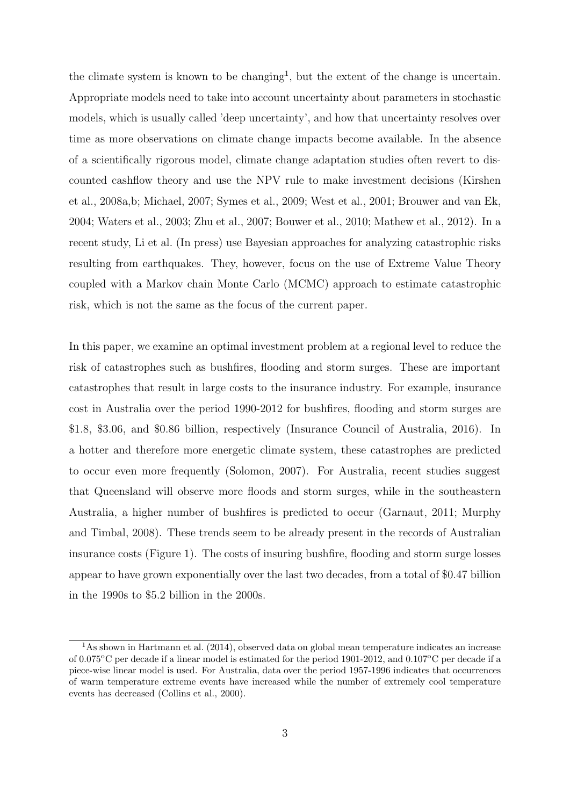the climate system is known to be changing<sup>1</sup>, but the extent of the change is uncertain. Appropriate models need to take into account uncertainty about parameters in stochastic models, which is usually called 'deep uncertainty', and how that uncertainty resolves over time as more observations on climate change impacts become available. In the absence of a scientifically rigorous model, climate change adaptation studies often revert to discounted cashflow theory and use the NPV rule to make investment decisions (Kirshen et al., 2008a,b; Michael, 2007; Symes et al., 2009; West et al., 2001; Brouwer and van Ek, 2004; Waters et al., 2003; Zhu et al., 2007; Bouwer et al., 2010; Mathew et al., 2012). In a recent study, Li et al. (In press) use Bayesian approaches for analyzing catastrophic risks resulting from earthquakes. They, however, focus on the use of Extreme Value Theory coupled with a Markov chain Monte Carlo (MCMC) approach to estimate catastrophic risk, which is not the same as the focus of the current paper.

In this paper, we examine an optimal investment problem at a regional level to reduce the risk of catastrophes such as bushfires, flooding and storm surges. These are important catastrophes that result in large costs to the insurance industry. For example, insurance cost in Australia over the period 1990-2012 for bushfires, flooding and storm surges are \$1.8, \$3.06, and \$0.86 billion, respectively (Insurance Council of Australia, 2016). In a hotter and therefore more energetic climate system, these catastrophes are predicted to occur even more frequently (Solomon, 2007). For Australia, recent studies suggest that Queensland will observe more floods and storm surges, while in the southeastern Australia, a higher number of bushfires is predicted to occur (Garnaut, 2011; Murphy and Timbal, 2008). These trends seem to be already present in the records of Australian insurance costs (Figure 1). The costs of insuring bushfire, flooding and storm surge losses appear to have grown exponentially over the last two decades, from a total of \$0.47 billion in the 1990s to \$5.2 billion in the 2000s.

 $1<sup>1</sup>$ As shown in Hartmann et al. (2014), observed data on global mean temperature indicates an increase of  $0.075^{\circ}$ C per decade if a linear model is estimated for the period 1901-2012, and  $0.107^{\circ}$ C per decade if a piece-wise linear model is used. For Australia, data over the period 1957-1996 indicates that occurrences of warm temperature extreme events have increased while the number of extremely cool temperature events has decreased (Collins et al., 2000).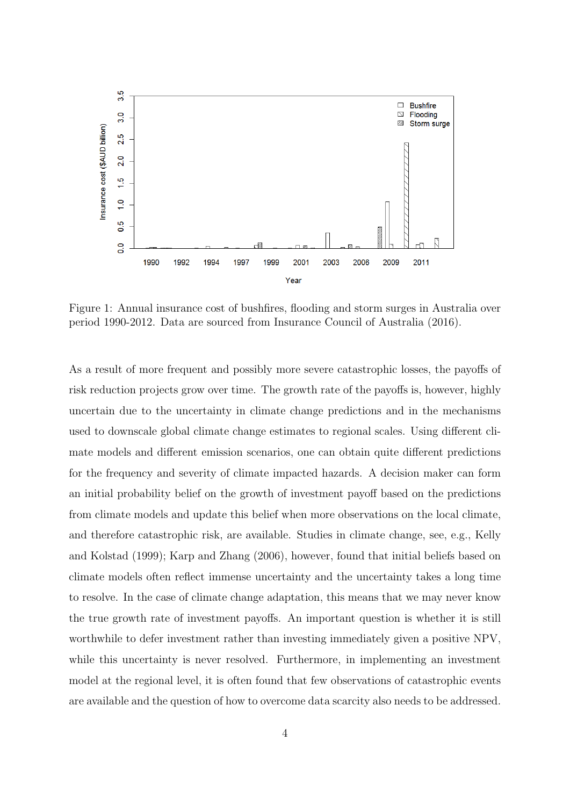

Figure 1: Annual insurance cost of bushfires, flooding and storm surges in Australia over period 1990-2012. Data are sourced from Insurance Council of Australia (2016).

As a result of more frequent and possibly more severe catastrophic losses, the payoffs of risk reduction projects grow over time. The growth rate of the payoffs is, however, highly uncertain due to the uncertainty in climate change predictions and in the mechanisms used to downscale global climate change estimates to regional scales. Using different climate models and different emission scenarios, one can obtain quite different predictions for the frequency and severity of climate impacted hazards. A decision maker can form an initial probability belief on the growth of investment payoff based on the predictions from climate models and update this belief when more observations on the local climate, and therefore catastrophic risk, are available. Studies in climate change, see, e.g., Kelly and Kolstad (1999); Karp and Zhang (2006), however, found that initial beliefs based on climate models often reflect immense uncertainty and the uncertainty takes a long time to resolve. In the case of climate change adaptation, this means that we may never know the true growth rate of investment payoffs. An important question is whether it is still worthwhile to defer investment rather than investing immediately given a positive NPV, while this uncertainty is never resolved. Furthermore, in implementing an investment model at the regional level, it is often found that few observations of catastrophic events are available and the question of how to overcome data scarcity also needs to be addressed.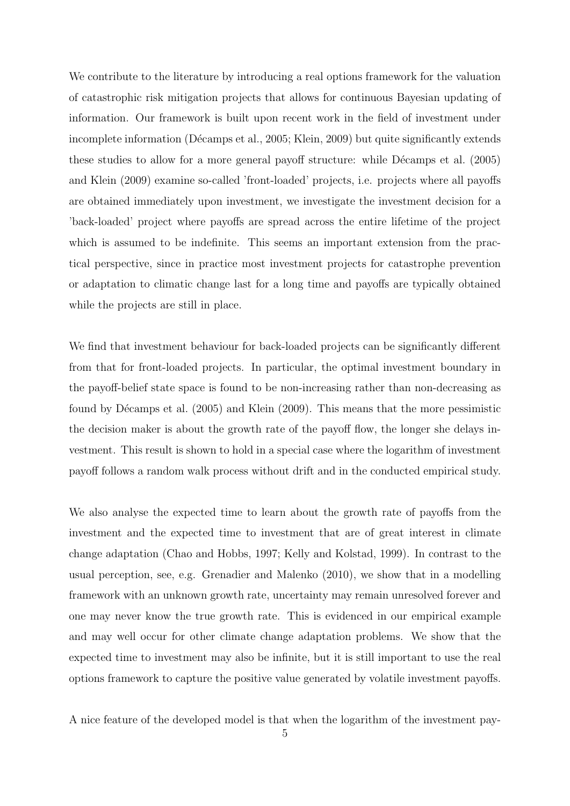We contribute to the literature by introducing a real options framework for the valuation of catastrophic risk mitigation projects that allows for continuous Bayesian updating of information. Our framework is built upon recent work in the field of investment under incomplete information (Décamps et al., 2005; Klein, 2009) but quite significantly extends these studies to allow for a more general payoff structure: while Décamps et al. (2005) and Klein (2009) examine so-called 'front-loaded' projects, i.e. projects where all payoffs are obtained immediately upon investment, we investigate the investment decision for a 'back-loaded' project where payoffs are spread across the entire lifetime of the project which is assumed to be indefinite. This seems an important extension from the practical perspective, since in practice most investment projects for catastrophe prevention or adaptation to climatic change last for a long time and payoffs are typically obtained while the projects are still in place.

We find that investment behaviour for back-loaded projects can be significantly different from that for front-loaded projects. In particular, the optimal investment boundary in the payoff-belief state space is found to be non-increasing rather than non-decreasing as found by Décamps et al. (2005) and Klein (2009). This means that the more pessimistic the decision maker is about the growth rate of the payoff flow, the longer she delays investment. This result is shown to hold in a special case where the logarithm of investment payoff follows a random walk process without drift and in the conducted empirical study.

We also analyse the expected time to learn about the growth rate of payoffs from the investment and the expected time to investment that are of great interest in climate change adaptation (Chao and Hobbs, 1997; Kelly and Kolstad, 1999). In contrast to the usual perception, see, e.g. Grenadier and Malenko (2010), we show that in a modelling framework with an unknown growth rate, uncertainty may remain unresolved forever and one may never know the true growth rate. This is evidenced in our empirical example and may well occur for other climate change adaptation problems. We show that the expected time to investment may also be infinite, but it is still important to use the real options framework to capture the positive value generated by volatile investment payoffs.

A nice feature of the developed model is that when the logarithm of the investment pay-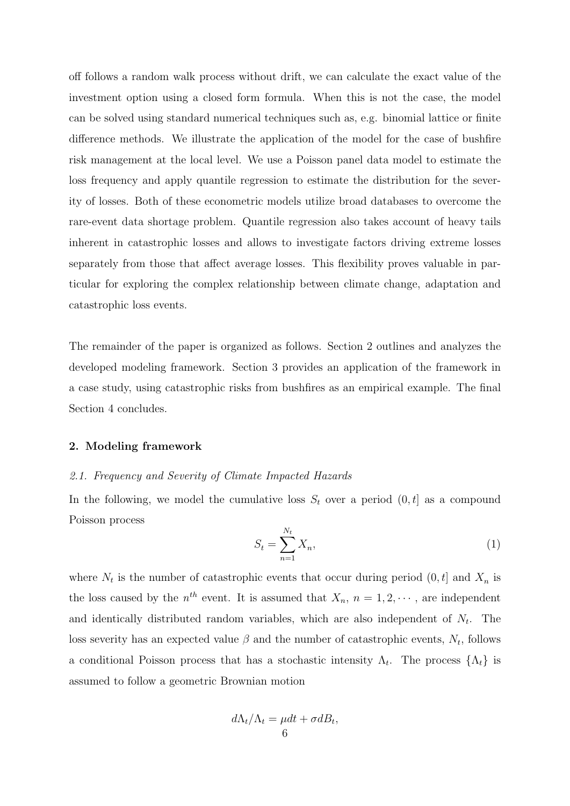off follows a random walk process without drift, we can calculate the exact value of the investment option using a closed form formula. When this is not the case, the model can be solved using standard numerical techniques such as, e.g. binomial lattice or finite difference methods. We illustrate the application of the model for the case of bushfire risk management at the local level. We use a Poisson panel data model to estimate the loss frequency and apply quantile regression to estimate the distribution for the severity of losses. Both of these econometric models utilize broad databases to overcome the rare-event data shortage problem. Quantile regression also takes account of heavy tails inherent in catastrophic losses and allows to investigate factors driving extreme losses separately from those that affect average losses. This flexibility proves valuable in particular for exploring the complex relationship between climate change, adaptation and catastrophic loss events.

The remainder of the paper is organized as follows. Section 2 outlines and analyzes the developed modeling framework. Section 3 provides an application of the framework in a case study, using catastrophic risks from bushfires as an empirical example. The final Section 4 concludes.

# 2. Modeling framework

# 2.1. Frequency and Severity of Climate Impacted Hazards

In the following, we model the cumulative loss  $S_t$  over a period  $(0, t]$  as a compound Poisson process

$$
S_t = \sum_{n=1}^{N_t} X_n,\tag{1}
$$

where  $N_t$  is the number of catastrophic events that occur during period  $(0, t]$  and  $X_n$  is the loss caused by the  $n^{th}$  event. It is assumed that  $X_n$ ,  $n = 1, 2, \dots$ , are independent and identically distributed random variables, which are also independent of  $N_t$ . The loss severity has an expected value  $\beta$  and the number of catastrophic events,  $N_t$ , follows a conditional Poisson process that has a stochastic intensity  $\Lambda_t$ . The process  $\{\Lambda_t\}$  is assumed to follow a geometric Brownian motion

$$
d\Lambda_t/\Lambda_t = \mu dt + \sigma dB_t,
$$
  
6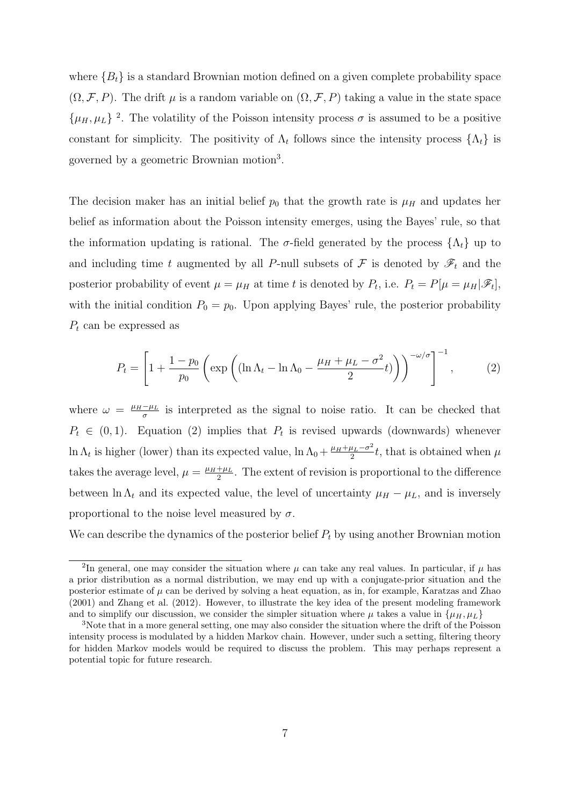where  ${B_t}$  is a standard Brownian motion defined on a given complete probability space  $(\Omega, \mathcal{F}, P)$ . The drift  $\mu$  is a random variable on  $(\Omega, \mathcal{F}, P)$  taking a value in the state space  $\{\mu_H, \mu_L\}$ <sup>2</sup>. The volatility of the Poisson intensity process  $\sigma$  is assumed to be a positive constant for simplicity. The positivity of  $\Lambda_t$  follows since the intensity process  $\{\Lambda_t\}$  is governed by a geometric Brownian motion<sup>3</sup> .

The decision maker has an initial belief  $p_0$  that the growth rate is  $\mu_H$  and updates her belief as information about the Poisson intensity emerges, using the Bayes' rule, so that the information updating is rational. The  $\sigma$ -field generated by the process  $\{\Lambda_t\}$  up to and including time t augmented by all P-null subsets of  $\mathcal F$  is denoted by  $\mathscr F_t$  and the posterior probability of event  $\mu = \mu_H$  at time t is denoted by  $P_t$ , i.e.  $P_t = P[\mu = \mu_H | \mathscr{F}_t]$ , with the initial condition  $P_0 = p_0$ . Upon applying Bayes' rule, the posterior probability  $P_t$  can be expressed as

$$
P_t = \left[1 + \frac{1 - p_0}{p_0} \left(\exp\left((\ln \Lambda_t - \ln \Lambda_0 - \frac{\mu_H + \mu_L - \sigma^2}{2}t)\right)\right)^{-\omega/\sigma}\right]^{-1},\tag{2}
$$

where  $\omega = \frac{\mu_H - \mu_L}{\sigma}$  $\frac{-\mu_L}{\sigma}$  is interpreted as the signal to noise ratio. It can be checked that  $P_t \in (0,1)$ . Equation (2) implies that  $P_t$  is revised upwards (downwards) whenever ln  $\Lambda_t$  is higher (lower) than its expected value,  $\ln \Lambda_0 + \frac{\mu_H + \mu_L - \sigma^2}{2}$  $\frac{u_L - \sigma^2}{2}t$ , that is obtained when  $\mu$ takes the average level,  $\mu = \frac{\mu_H + \mu_L}{2}$  $\frac{+\mu_L}{2}$ . The extent of revision is proportional to the difference between ln  $\Lambda_t$  and its expected value, the level of uncertainty  $\mu_H - \mu_L$ , and is inversely proportional to the noise level measured by  $\sigma$ .

We can describe the dynamics of the posterior belief  $P_t$  by using another Brownian motion

<sup>&</sup>lt;sup>2</sup>In general, one may consider the situation where  $\mu$  can take any real values. In particular, if  $\mu$  has a prior distribution as a normal distribution, we may end up with a conjugate-prior situation and the posterior estimate of  $\mu$  can be derived by solving a heat equation, as in, for example, Karatzas and Zhao (2001) and Zhang et al. (2012). However, to illustrate the key idea of the present modeling framework and to simplify our discussion, we consider the simpler situation where  $\mu$  takes a value in  $\{\mu_H, \mu_L\}$ 

<sup>&</sup>lt;sup>3</sup>Note that in a more general setting, one may also consider the situation where the drift of the Poisson intensity process is modulated by a hidden Markov chain. However, under such a setting, filtering theory for hidden Markov models would be required to discuss the problem. This may perhaps represent a potential topic for future research.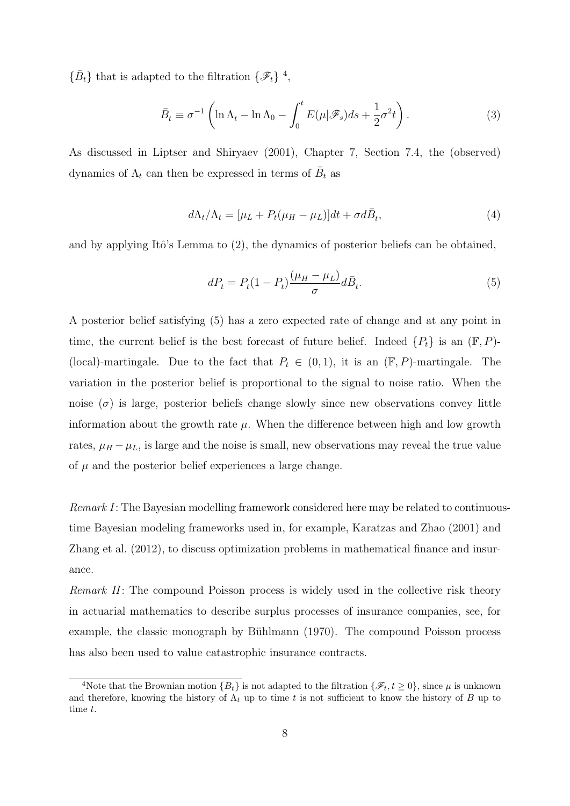$\{\bar{B}_t\}$  that is adapted to the filtration  $\{\mathscr{F}_t\}$ <sup>4</sup>,

$$
\bar{B}_t \equiv \sigma^{-1} \left( \ln \Lambda_t - \ln \Lambda_0 - \int_0^t E(\mu | \mathscr{F}_s) ds + \frac{1}{2} \sigma^2 t \right). \tag{3}
$$

As discussed in Liptser and Shiryaev (2001), Chapter 7, Section 7.4, the (observed) dynamics of  $\Lambda_t$  can then be expressed in terms of  $\bar{B}_t$  as

$$
d\Lambda_t/\Lambda_t = [\mu_L + P_t(\mu_H - \mu_L)]dt + \sigma d\bar{B}_t, \tag{4}
$$

and by applying Itô's Lemma to  $(2)$ , the dynamics of posterior beliefs can be obtained,

$$
dP_t = P_t(1 - P_t) \frac{(\mu_H - \mu_L)}{\sigma} d\bar{B}_t.
$$
\n<sup>(5)</sup>

A posterior belief satisfying (5) has a zero expected rate of change and at any point in time, the current belief is the best forecast of future belief. Indeed  $\{P_t\}$  is an  $(\mathbb{F}, P)$ -(local)-martingale. Due to the fact that  $P_t \in (0,1)$ , it is an  $(\mathbb{F}, P)$ -martingale. The variation in the posterior belief is proportional to the signal to noise ratio. When the noise  $(\sigma)$  is large, posterior beliefs change slowly since new observations convey little information about the growth rate  $\mu$ . When the difference between high and low growth rates,  $\mu_H - \mu_L$ , is large and the noise is small, new observations may reveal the true value of  $\mu$  and the posterior belief experiences a large change.

Remark I: The Bayesian modelling framework considered here may be related to continuoustime Bayesian modeling frameworks used in, for example, Karatzas and Zhao (2001) and Zhang et al. (2012), to discuss optimization problems in mathematical finance and insurance.

Remark II: The compound Poisson process is widely used in the collective risk theory in actuarial mathematics to describe surplus processes of insurance companies, see, for example, the classic monograph by Bühlmann (1970). The compound Poisson process has also been used to value catastrophic insurance contracts.

<sup>&</sup>lt;sup>4</sup>Note that the Brownian motion  ${B_t}$  is not adapted to the filtration  ${\mathscr{F}_t, t \ge 0}$ , since  $\mu$  is unknown and therefore, knowing the history of  $\Lambda_t$  up to time t is not sufficient to know the history of B up to time t.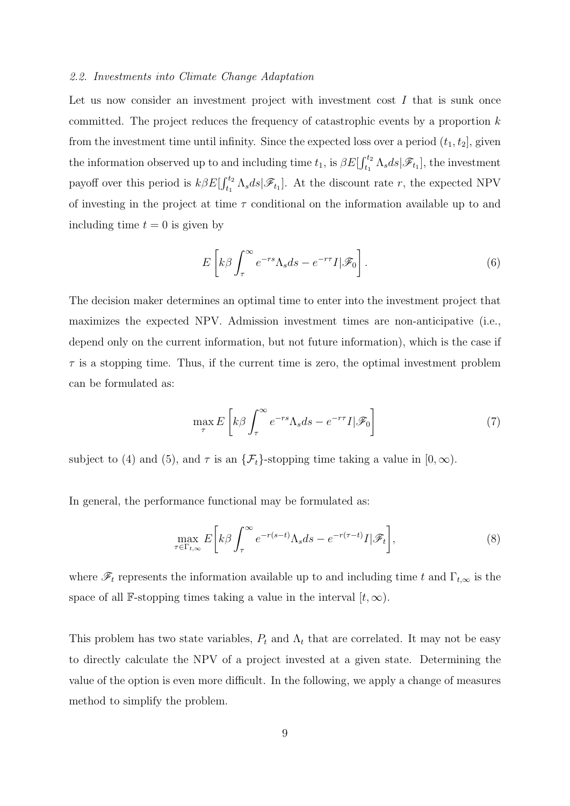#### 2.2. Investments into Climate Change Adaptation

Let us now consider an investment project with investment cost  $I$  that is sunk once committed. The project reduces the frequency of catastrophic events by a proportion  $k$ from the investment time until infinity. Since the expected loss over a period  $(t_1, t_2]$ , given the information observed up to and including time  $t_1$ , is  $\beta E[\int_{t_1}^{t_2} \Lambda_s ds | \mathscr{F}_{t_1}]$ , the investment payoff over this period is  $k\beta E[\int_{t_1}^{t_2} \Lambda_s ds | \mathscr{F}_{t_1}]$ . At the discount rate r, the expected NPV of investing in the project at time  $\tau$  conditional on the information available up to and including time  $t = 0$  is given by

$$
E\left[k\beta\int_{\tau}^{\infty}e^{-rs}\Lambda_s ds - e^{-r\tau}I|\mathscr{F}_0\right].
$$
 (6)

The decision maker determines an optimal time to enter into the investment project that maximizes the expected NPV. Admission investment times are non-anticipative (i.e., depend only on the current information, but not future information), which is the case if  $\tau$  is a stopping time. Thus, if the current time is zero, the optimal investment problem can be formulated as:

$$
\max_{\tau} E\left[k\beta \int_{\tau}^{\infty} e^{-rs} \Lambda_s ds - e^{-r\tau} I|\mathcal{F}_0\right]
$$
\n(7)

subject to (4) and (5), and  $\tau$  is an  $\{\mathcal{F}_t\}$ -stopping time taking a value in  $[0,\infty)$ .

In general, the performance functional may be formulated as:

$$
\max_{\tau \in \Gamma_{t,\infty}} E\bigg[k\beta \int_{\tau}^{\infty} e^{-r(s-t)} \Lambda_s ds - e^{-r(\tau-t)} I|\mathscr{F}_t\bigg],\tag{8}
$$

where  $\mathscr{F}_t$  represents the information available up to and including time t and  $\Gamma_{t,\infty}$  is the space of all F-stopping times taking a value in the interval  $[t, \infty)$ .

This problem has two state variables,  $P_t$  and  $\Lambda_t$  that are correlated. It may not be easy to directly calculate the NPV of a project invested at a given state. Determining the value of the option is even more difficult. In the following, we apply a change of measures method to simplify the problem.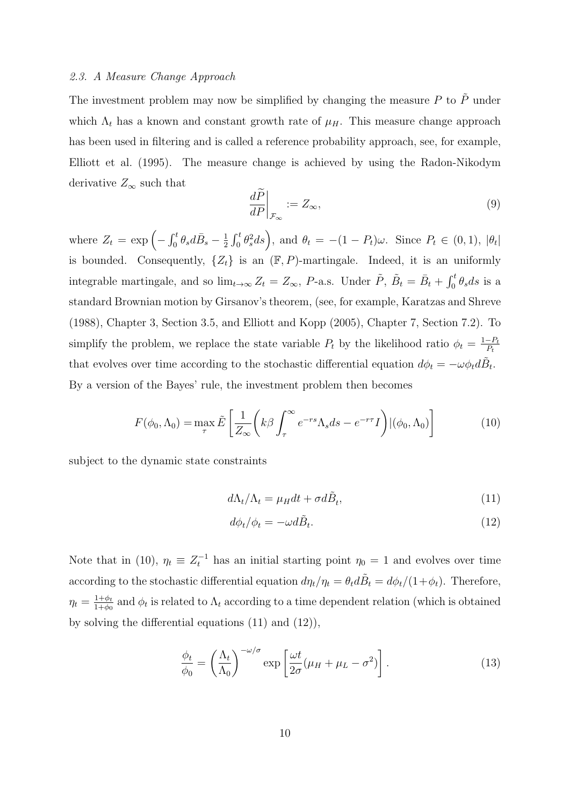#### 2.3. A Measure Change Approach

The investment problem may now be simplified by changing the measure  $P$  to  $\tilde{P}$  under which  $\Lambda_t$  has a known and constant growth rate of  $\mu$ . This measure change approach has been used in filtering and is called a reference probability approach, see, for example, Elliott et al. (1995). The measure change is achieved by using the Radon-Nikodym derivative  $Z_{\infty}$  such that

$$
\left. \frac{dP}{dP} \right|_{\mathcal{F}_{\infty}} := Z_{\infty},\tag{9}
$$

where  $Z_t = \exp \left(-\int_0^t \theta_s d\bar{B}_s - \frac{1}{2}\right)$  $\frac{1}{2} \int_0^t \theta_s^2 ds$ , and  $\theta_t = -(1 - P_t)\omega$ . Since  $P_t \in (0, 1)$ ,  $|\theta_t|$ is bounded. Consequently,  $\{Z_t\}$  is an  $(\mathbb{F}, P)$ -martingale. Indeed, it is an uniformly integrable martingale, and so  $\lim_{t\to\infty} Z_t = Z_{\infty}$ , P-a.s. Under  $\tilde{P}$ ,  $\tilde{B}_t = \bar{B}_t + \int_0^t \theta_s ds$  is a standard Brownian motion by Girsanov's theorem, (see, for example, Karatzas and Shreve (1988), Chapter 3, Section 3.5, and Elliott and Kopp (2005), Chapter 7, Section 7.2). To simplify the problem, we replace the state variable  $P_t$  by the likelihood ratio  $\phi_t = \frac{1-P_t}{P_t}$  $P_t$ that evolves over time according to the stochastic differential equation  $d\phi_t = -\omega \phi_t d\tilde{B}_t$ . By a version of the Bayes' rule, the investment problem then becomes

$$
F(\phi_0, \Lambda_0) = \max_{\tau} \tilde{E} \left[ \frac{1}{Z_{\infty}} \left( k\beta \int_{\tau}^{\infty} e^{-rs} \Lambda_s ds - e^{-r\tau} I \right) | (\phi_0, \Lambda_0) \right]
$$
(10)

subject to the dynamic state constraints

$$
d\Lambda_t/\Lambda_t = \mu_H dt + \sigma d\tilde{B}_t,\tag{11}
$$

$$
d\phi_t/\phi_t = -\omega d\tilde{B}_t. \tag{12}
$$

Note that in (10),  $\eta_t \equiv Z_t^{-1}$  has an initial starting point  $\eta_0 = 1$  and evolves over time according to the stochastic differential equation  $d\eta_t/\eta_t = \theta_t d\tilde{B}_t = d\phi_t/(1+\phi_t)$ . Therefore,  $\eta_t = \frac{1+\phi_t}{1+\phi_0}$  $\frac{1+\phi_t}{1+\phi_0}$  and  $\phi_t$  is related to  $\Lambda_t$  according to a time dependent relation (which is obtained by solving the differential equations (11) and (12)),

$$
\frac{\phi_t}{\phi_0} = \left(\frac{\Lambda_t}{\Lambda_0}\right)^{-\omega/\sigma} \exp\left[\frac{\omega t}{2\sigma}(\mu_H + \mu_L - \sigma^2)\right].
$$
\n(13)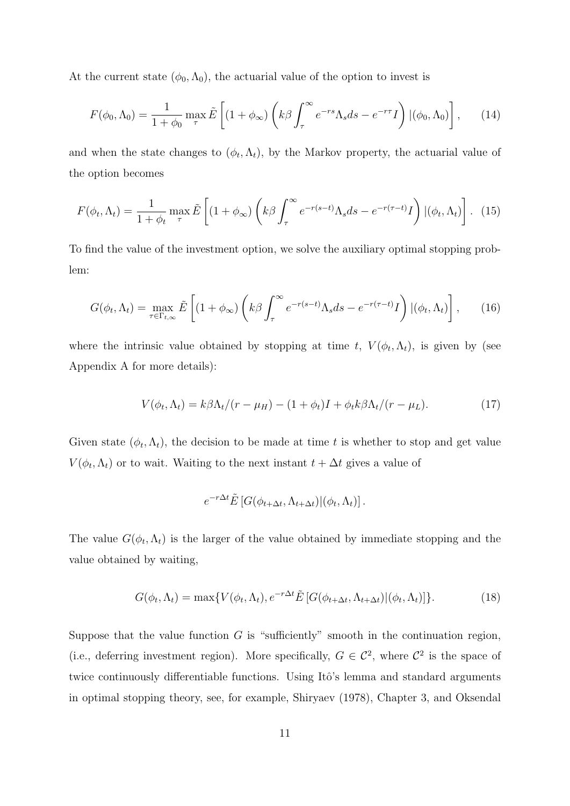At the current state  $(\phi_0, \Lambda_0)$ , the actuarial value of the option to invest is

$$
F(\phi_0, \Lambda_0) = \frac{1}{1 + \phi_0} \max_{\tau} \tilde{E} \left[ (1 + \phi_\infty) \left( k\beta \int_{\tau}^{\infty} e^{-rs} \Lambda_s ds - e^{-r\tau} I \right) | (\phi_0, \Lambda_0) \right], \quad (14)
$$

and when the state changes to  $(\phi_t, \Lambda_t)$ , by the Markov property, the actuarial value of the option becomes

$$
F(\phi_t, \Lambda_t) = \frac{1}{1 + \phi_t} \max_{\tau} \tilde{E} \left[ (1 + \phi_\infty) \left( k\beta \int_\tau^\infty e^{-r(s-t)} \Lambda_s ds - e^{-r(\tau - t)} I \right) | (\phi_t, \Lambda_t) \right]. \tag{15}
$$

To find the value of the investment option, we solve the auxiliary optimal stopping problem:

$$
G(\phi_t, \Lambda_t) = \max_{\tau \in \Gamma_{t,\infty}} \tilde{E}\left[ (1 + \phi_\infty) \left( k\beta \int_\tau^\infty e^{-r(s-t)} \Lambda_s ds - e^{-r(\tau - t)} I \right) | (\phi_t, \Lambda_t) \right], \tag{16}
$$

where the intrinsic value obtained by stopping at time t,  $V(\phi_t, \Lambda_t)$ , is given by (see Appendix A for more details):

$$
V(\phi_t, \Lambda_t) = k\beta \Lambda_t / (r - \mu_H) - (1 + \phi_t)I + \phi_t k \beta \Lambda_t / (r - \mu_L). \tag{17}
$$

Given state  $(\phi_t, \Lambda_t)$ , the decision to be made at time t is whether to stop and get value  $V(\phi_t, \Lambda_t)$  or to wait. Waiting to the next instant  $t + \Delta t$  gives a value of

$$
e^{-r\Delta t} \tilde{E} \left[ G(\phi_{t+\Delta t}, \Lambda_{t+\Delta t}) | (\phi_t, \Lambda_t) \right].
$$

The value  $G(\phi_t, \Lambda_t)$  is the larger of the value obtained by immediate stopping and the value obtained by waiting,

$$
G(\phi_t, \Lambda_t) = \max \{ V(\phi_t, \Lambda_t), e^{-r\Delta t} \tilde{E} \left[ G(\phi_{t+\Delta t}, \Lambda_{t+\Delta t}) | (\phi_t, \Lambda_t) \right] \}.
$$
 (18)

Suppose that the value function  $G$  is "sufficiently" smooth in the continuation region, (i.e., deferring investment region). More specifically,  $G \in \mathcal{C}^2$ , where  $\mathcal{C}^2$  is the space of twice continuously differentiable functions. Using Itô's lemma and standard arguments in optimal stopping theory, see, for example, Shiryaev (1978), Chapter 3, and Oksendal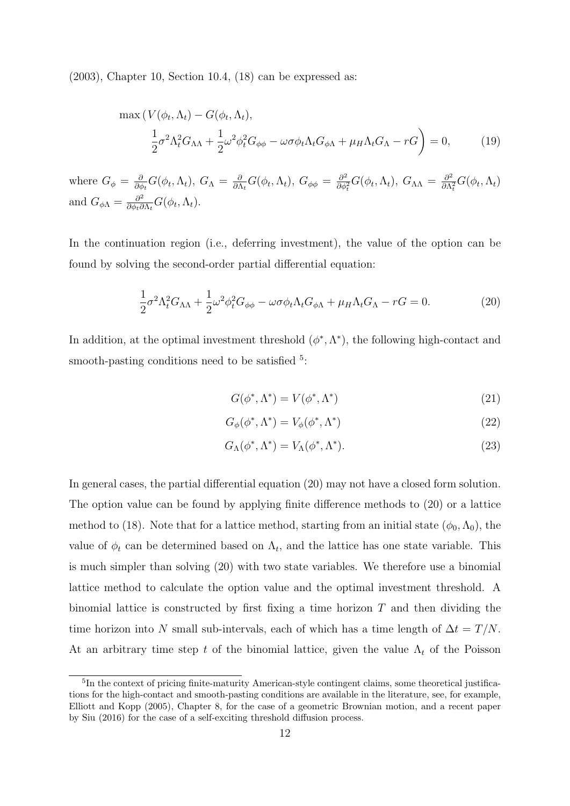$(2003)$ , Chapter 10, Section 10.4,  $(18)$  can be expressed as:

$$
\max (V(\phi_t, \Lambda_t) - G(\phi_t, \Lambda_t),
$$
  
\n
$$
\frac{1}{2}\sigma^2 \Lambda_t^2 G_{\Lambda\Lambda} + \frac{1}{2}\omega^2 \phi_t^2 G_{\phi\phi} - \omega \sigma \phi_t \Lambda_t G_{\phi\Lambda} + \mu_H \Lambda_t G_{\Lambda} - rG \bigg) = 0,
$$
\n(19)

where  $G_{\phi} = \frac{\partial}{\partial d}$  $\frac{\partial}{\partial \phi_t} G(\phi_t, \Lambda_t),\ G_\Lambda\,=\, \frac{\partial}{\partial \Lambda_t}$  $\frac{\partial}{\partial \Lambda_t} G(\phi_t, \Lambda_t),\; G_{\phi\phi} \,=\, \frac{\partial^2}{\partial \phi_t^2}$  $\frac{\partial^2}{\partial \phi_t^2} G(\phi_t, \Lambda_t), G_{\Lambda\Lambda} = \frac{\partial^2}{\partial \Lambda}$  $\frac{\partial^2}{\partial \Lambda_t^2} G(\phi_t, \Lambda_t)$ and  $G_{\phi\Lambda} = \frac{\partial^2}{\partial \phi \cdot \partial \phi^2}$  $\frac{\partial^2}{\partial \phi_t \partial \Lambda_t} G(\phi_t, \Lambda_t).$ 

In the continuation region (i.e., deferring investment), the value of the option can be found by solving the second-order partial differential equation:

$$
\frac{1}{2}\sigma^2 \Lambda_t^2 G_{\Lambda\Lambda} + \frac{1}{2}\omega^2 \phi_t^2 G_{\phi\phi} - \omega \sigma \phi_t \Lambda_t G_{\phi\Lambda} + \mu_H \Lambda_t G_{\Lambda} - rG = 0.
$$
 (20)

In addition, at the optimal investment threshold  $(\phi^*, \Lambda^*)$ , the following high-contact and smooth-pasting conditions need to be satisfied <sup>5</sup>:

$$
G(\phi^*, \Lambda^*) = V(\phi^*, \Lambda^*)
$$
\n(21)

$$
G_{\phi}(\phi^*, \Lambda^*) = V_{\phi}(\phi^*, \Lambda^*)
$$
\n(22)

$$
G_{\Lambda}(\phi^*, \Lambda^*) = V_{\Lambda}(\phi^*, \Lambda^*). \tag{23}
$$

In general cases, the partial differential equation (20) may not have a closed form solution. The option value can be found by applying finite difference methods to (20) or a lattice method to (18). Note that for a lattice method, starting from an initial state  $(\phi_0, \Lambda_0)$ , the value of  $\phi_t$  can be determined based on  $\Lambda_t$ , and the lattice has one state variable. This is much simpler than solving (20) with two state variables. We therefore use a binomial lattice method to calculate the option value and the optimal investment threshold. A binomial lattice is constructed by first fixing a time horizon  $T$  and then dividing the time horizon into N small sub-intervals, each of which has a time length of  $\Delta t = T/N$ . At an arbitrary time step t of the binomial lattice, given the value  $\Lambda_t$  of the Poisson

<sup>&</sup>lt;sup>5</sup>In the context of pricing finite-maturity American-style contingent claims, some theoretical justifications for the high-contact and smooth-pasting conditions are available in the literature, see, for example, Elliott and Kopp (2005), Chapter 8, for the case of a geometric Brownian motion, and a recent paper by Siu (2016) for the case of a self-exciting threshold diffusion process.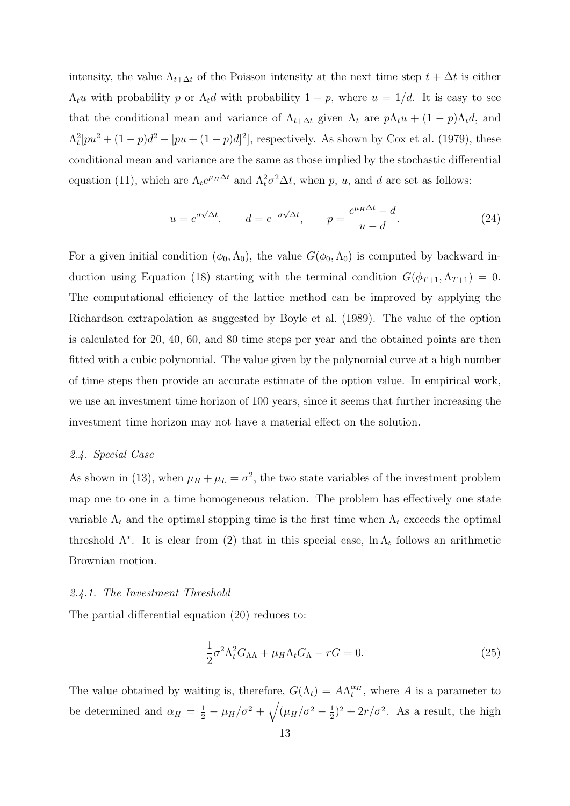intensity, the value  $\Lambda_{t+\Delta t}$  of the Poisson intensity at the next time step  $t + \Delta t$  is either  $\Lambda_t u$  with probability p or  $\Lambda_t d$  with probability  $1 - p$ , where  $u = 1/d$ . It is easy to see that the conditional mean and variance of  $\Lambda_{t+\Delta t}$  given  $\Lambda_t$  are  $p\Lambda_t u + (1-p)\Lambda_t d$ , and  $\Lambda_t^2[pu^2 + (1-p)d^2 - [pu + (1-p)d]^2]$ , respectively. As shown by Cox et al. (1979), these conditional mean and variance are the same as those implied by the stochastic differential equation (11), which are  $\Lambda_t e^{\mu_H \Delta t}$  and  $\Lambda_t^2 \sigma^2 \Delta t$ , when p, u, and d are set as follows:

$$
u = e^{\sigma\sqrt{\Delta t}}, \qquad d = e^{-\sigma\sqrt{\Delta t}}, \qquad p = \frac{e^{\mu_H \Delta t} - d}{u - d}.
$$
 (24)

For a given initial condition  $(\phi_0, \Lambda_0)$ , the value  $G(\phi_0, \Lambda_0)$  is computed by backward induction using Equation (18) starting with the terminal condition  $G(\phi_{T+1}, \Lambda_{T+1}) = 0$ . The computational efficiency of the lattice method can be improved by applying the Richardson extrapolation as suggested by Boyle et al. (1989). The value of the option is calculated for 20, 40, 60, and 80 time steps per year and the obtained points are then fitted with a cubic polynomial. The value given by the polynomial curve at a high number of time steps then provide an accurate estimate of the option value. In empirical work, we use an investment time horizon of 100 years, since it seems that further increasing the investment time horizon may not have a material effect on the solution.

# 2.4. Special Case

As shown in (13), when  $\mu_H + \mu_L = \sigma^2$ , the two state variables of the investment problem map one to one in a time homogeneous relation. The problem has effectively one state variable  $\Lambda_t$  and the optimal stopping time is the first time when  $\Lambda_t$  exceeds the optimal threshold  $\Lambda^*$ . It is clear from (2) that in this special case,  $\ln \Lambda_t$  follows an arithmetic Brownian motion.

#### 2.4.1. The Investment Threshold

The partial differential equation (20) reduces to:

$$
\frac{1}{2}\sigma^2 \Lambda_t^2 G_{\Lambda\Lambda} + \mu_H \Lambda_t G_{\Lambda} - rG = 0.
$$
\n(25)

The value obtained by waiting is, therefore,  $G(\Lambda_t) = A \Lambda_t^{\alpha_H}$ , where A is a parameter to be determined and  $\alpha_H = \frac{1}{2} - \mu_H/\sigma^2 + \sqrt{(\mu_H/\sigma^2 - \frac{1}{2})}$  $(\frac{1}{2})^2 + 2r/\sigma^2$ . As a result, the high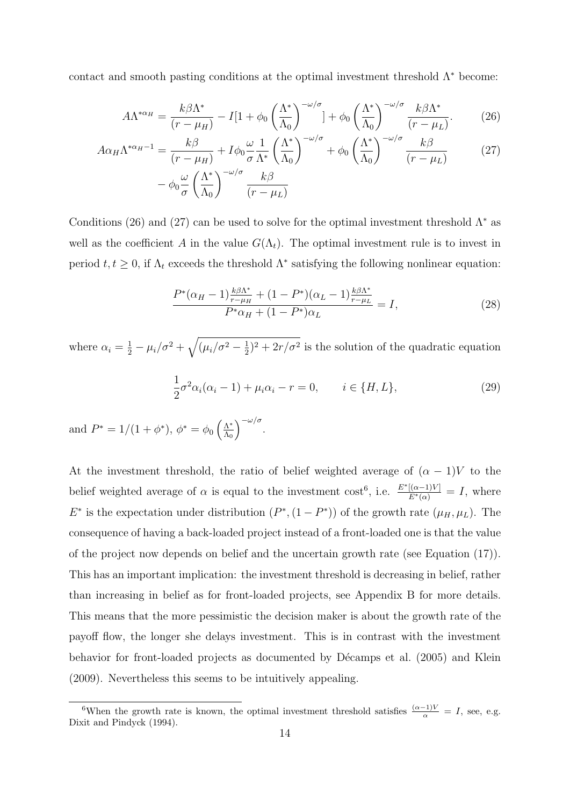contact and smooth pasting conditions at the optimal investment threshold  $\Lambda^*$  become:

$$
A\Lambda^{*\alpha_H} = \frac{k\beta\Lambda^*}{(r-\mu_H)} - I[1+\phi_0\left(\frac{\Lambda^*}{\Lambda_0}\right)^{-\omega/\sigma}] + \phi_0\left(\frac{\Lambda^*}{\Lambda_0}\right)^{-\omega/\sigma}\frac{k\beta\Lambda^*}{(r-\mu_L)}.
$$
 (26)

$$
A\alpha_H \Lambda^{*\alpha_H - 1} = \frac{k\beta}{(r - \mu_H)} + I\phi_0 \frac{\omega}{\sigma} \frac{1}{\Lambda^*} \left(\frac{\Lambda^*}{\Lambda_0}\right)^{-\omega/\sigma} + \phi_0 \left(\frac{\Lambda^*}{\Lambda_0}\right)^{-\omega/\sigma} \frac{k\beta}{(r - \mu_L)} \tag{27}
$$

$$
- \phi_0 \frac{\omega}{\sigma} \left(\frac{\Lambda^*}{\Lambda_0}\right)^{-\omega/\sigma} \frac{k\beta}{(r - \mu_L)}
$$

Conditions (26) and (27) can be used to solve for the optimal investment threshold  $\Lambda^*$  as well as the coefficient A in the value  $G(\Lambda_t)$ . The optimal investment rule is to invest in period  $t, t \geq 0$ , if  $\Lambda_t$  exceeds the threshold  $\Lambda^*$  satisfying the following nonlinear equation:

$$
\frac{P^*(\alpha_H - 1)\frac{k\beta\Lambda^*}{r - \mu_H} + (1 - P^*)(\alpha_L - 1)\frac{k\beta\Lambda^*}{r - \mu_L}}{P^*\alpha_H + (1 - P^*)\alpha_L} = I,
$$
\n(28)

where  $\alpha_i = \frac{1}{2} - \mu_i/\sigma^2 + \sqrt{(\mu_i/\sigma^2 - \frac{1}{2})}$  $(\frac{1}{2})^2 + 2r/\sigma^2$  is the solution of the quadratic equation

$$
\frac{1}{2}\sigma^2 \alpha_i(\alpha_i - 1) + \mu_i \alpha_i - r = 0, \qquad i \in \{H, L\},\tag{29}
$$

and  $P^* = 1/(1 + \phi^*), \ \phi^* = \phi_0 \left( \frac{\Lambda^*}{\Lambda_0} \right)$  $\Lambda_0$  $\int_{-\infty}^{\infty}$ 

At the investment threshold, the ratio of belief weighted average of  $(\alpha - 1)V$  to the belief weighted average of  $\alpha$  is equal to the investment cost<sup>6</sup>, i.e.  $\frac{E^*[(\alpha-1)V]}{E^*(\alpha)}=I$ , where  $E^*$  is the expectation under distribution  $(P^*, (1 - P^*))$  of the growth rate  $(\mu_H, \mu_L)$ . The consequence of having a back-loaded project instead of a front-loaded one is that the value of the project now depends on belief and the uncertain growth rate (see Equation (17)). This has an important implication: the investment threshold is decreasing in belief, rather than increasing in belief as for front-loaded projects, see Appendix B for more details. This means that the more pessimistic the decision maker is about the growth rate of the payoff flow, the longer she delays investment. This is in contrast with the investment behavior for front-loaded projects as documented by Décamps et al.  $(2005)$  and Klein (2009). Nevertheless this seems to be intuitively appealing.

<sup>&</sup>lt;sup>6</sup>When the growth rate is known, the optimal investment threshold satisfies  $\frac{(\alpha-1)V}{\alpha} = I$ , see, e.g. Dixit and Pindyck (1994).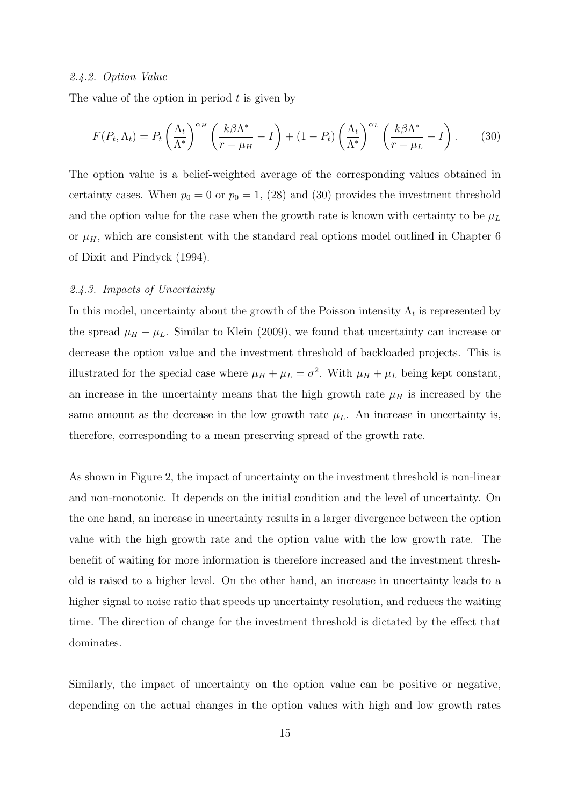#### 2.4.2. Option Value

The value of the option in period  $t$  is given by

$$
F(P_t, \Lambda_t) = P_t \left(\frac{\Lambda_t}{\Lambda^*}\right)^{\alpha_H} \left(\frac{k\beta\Lambda^*}{r - \mu_H} - I\right) + (1 - P_t) \left(\frac{\Lambda_t}{\Lambda^*}\right)^{\alpha_L} \left(\frac{k\beta\Lambda^*}{r - \mu_L} - I\right). \tag{30}
$$

The option value is a belief-weighted average of the corresponding values obtained in certainty cases. When  $p_0 = 0$  or  $p_0 = 1$ , (28) and (30) provides the investment threshold and the option value for the case when the growth rate is known with certainty to be  $\mu_L$ or  $\mu$ <sub>H</sub>, which are consistent with the standard real options model outlined in Chapter 6 of Dixit and Pindyck (1994).

# 2.4.3. Impacts of Uncertainty

In this model, uncertainty about the growth of the Poisson intensity  $\Lambda_t$  is represented by the spread  $\mu_H - \mu_L$ . Similar to Klein (2009), we found that uncertainty can increase or decrease the option value and the investment threshold of backloaded projects. This is illustrated for the special case where  $\mu_H + \mu_L = \sigma^2$ . With  $\mu_H + \mu_L$  being kept constant, an increase in the uncertainty means that the high growth rate  $\mu_H$  is increased by the same amount as the decrease in the low growth rate  $\mu_L$ . An increase in uncertainty is, therefore, corresponding to a mean preserving spread of the growth rate.

As shown in Figure 2, the impact of uncertainty on the investment threshold is non-linear and non-monotonic. It depends on the initial condition and the level of uncertainty. On the one hand, an increase in uncertainty results in a larger divergence between the option value with the high growth rate and the option value with the low growth rate. The benefit of waiting for more information is therefore increased and the investment threshold is raised to a higher level. On the other hand, an increase in uncertainty leads to a higher signal to noise ratio that speeds up uncertainty resolution, and reduces the waiting time. The direction of change for the investment threshold is dictated by the effect that dominates.

Similarly, the impact of uncertainty on the option value can be positive or negative, depending on the actual changes in the option values with high and low growth rates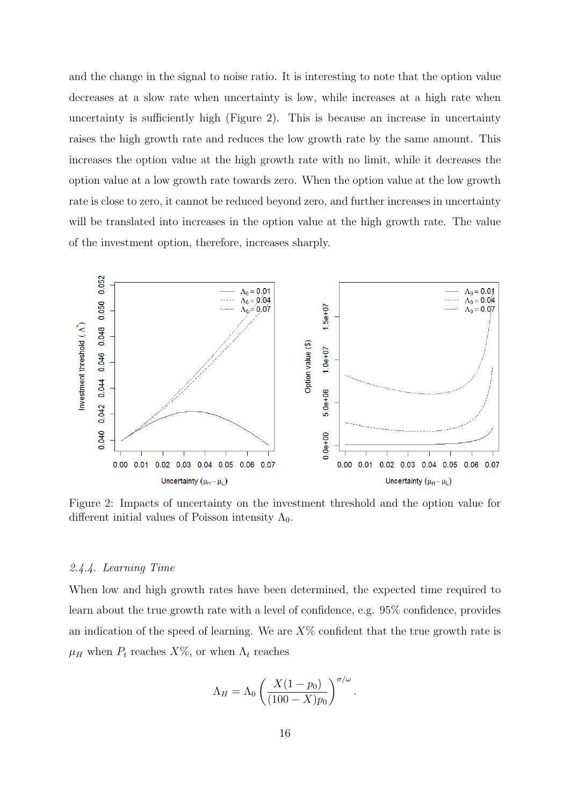and the change in the signal to noise ratio. It is interesting to note that the option value decreases at a slow rate when uncertainty is low, while increases at a high rate when uncertainty is sufficiently high (Figure 2). This is because an increase in uncertainty raises the high growth rate and reduces the low growth rate by the same amount. This increases the option value at the high growth rate with no limit, while it decreases the option value at a low growth rate towards zero. When the option value at the low growth rate is close to zero, it cannot be reduced beyond zero, and further increases in uncertainty will be translated into increases in the option value at the high growth rate. The value of the investment option, therefore, increases sharply.



Figure 2: Impacts of uncertainty on the investment threshold and the option value for different initial values of Poisson intensity  $\Lambda_0$ .

#### 2.4.4. Learning Time

When low and high growth rates have been determined, the expected time required to learn about the true growth rate with a level of confidence, e.g. 95% confidence, provides an indication of the speed of learning. We are  $X\%$  confident that the true growth rate is  $\mu_H$  when  $P_t$  reaches  $X\%$ , or when  $\Lambda_t$  reaches

$$
\Lambda_H = \Lambda_0 \left( \frac{X(1 - p_0)}{(100 - X)p_0} \right)^{\sigma/\omega}.
$$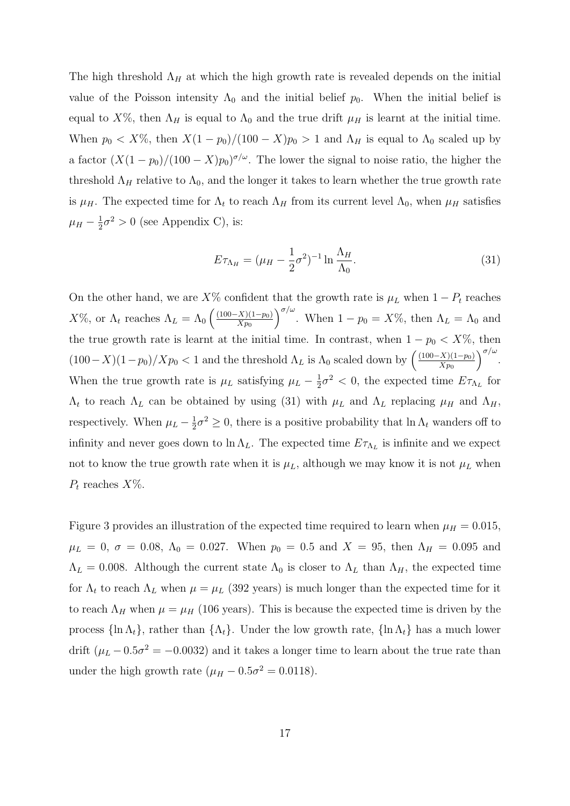The high threshold  $\Lambda_H$  at which the high growth rate is revealed depends on the initial value of the Poisson intensity  $\Lambda_0$  and the initial belief  $p_0$ . When the initial belief is equal to  $X\%$ , then  $\Lambda_H$  is equal to  $\Lambda_0$  and the true drift  $\mu_H$  is learnt at the initial time. When  $p_0 < X\%$ , then  $X(1 - p_0)/(100 - X)p_0 > 1$  and  $\Lambda_H$  is equal to  $\Lambda_0$  scaled up by a factor  $(X(1-p_0)/(100-X)p_0)^{\sigma/\omega}$ . The lower the signal to noise ratio, the higher the threshold  $\Lambda_H$  relative to  $\Lambda_0$ , and the longer it takes to learn whether the true growth rate is  $\mu_H$ . The expected time for  $\Lambda_t$  to reach  $\Lambda_H$  from its current level  $\Lambda_0$ , when  $\mu_H$  satisfies  $\mu_H-\frac{1}{2}$  $\frac{1}{2}\sigma^2 > 0$  (see Appendix C), is:

$$
E\tau_{\Lambda_H} = (\mu_H - \frac{1}{2}\sigma^2)^{-1} \ln \frac{\Lambda_H}{\Lambda_0}.\tag{31}
$$

On the other hand, we are  $X\%$  confident that the growth rate is  $\mu_L$  when  $1 - P_t$  reaches  $X\%$ , or  $\Lambda_t$  reaches  $\Lambda_L = \Lambda_0 \left( \frac{(100 - X)(1 - p_0)}{X p_0} \right)$  $Xp_0$  $\int_{0}^{\sigma/\omega}$ . When  $1-p_0=X\%$ , then  $\Lambda_L=\Lambda_0$  and the true growth rate is learnt at the initial time. In contrast, when  $1 - p_0 < X\%$ , then  $(100-X)(1-p_0)/Xp_0 < 1$  and the threshold  $\Lambda_L$  is  $\Lambda_0$  scaled down by  $\left(\frac{(100-X)(1-p_0)}{Xp_0}\right)$  $Xp_0$  $\int_{0}^{\sigma/\omega}$ . When the true growth rate is  $\mu_L$  satisfying  $\mu_L - \frac{1}{2}$  $\frac{1}{2}\sigma^2 < 0$ , the expected time  $E\tau_{\Lambda_L}$  for  $\Lambda_t$  to reach  $\Lambda_L$  can be obtained by using (31) with  $\mu_L$  and  $\Lambda_L$  replacing  $\mu_H$  and  $\Lambda_H$ , respectively. When  $\mu_L - \frac{1}{2}$  $\frac{1}{2}\sigma^2 \geq 0$ , there is a positive probability that  $\ln \Lambda_t$  wanders off to infinity and never goes down to  $\ln \Lambda_L$ . The expected time  $E_{\tau_{\Lambda_L}}$  is infinite and we expect not to know the true growth rate when it is  $\mu_L$ , although we may know it is not  $\mu_L$  when  $P_t$  reaches  $X\%$ .

Figure 3 provides an illustration of the expected time required to learn when  $\mu = 0.015$ ,  $\mu_L = 0, \sigma = 0.08, \Lambda_0 = 0.027.$  When  $p_0 = 0.5$  and  $X = 95$ , then  $\Lambda_H = 0.095$  and  $\Lambda_L = 0.008$ . Although the current state  $\Lambda_0$  is closer to  $\Lambda_L$  than  $\Lambda_H$ , the expected time for  $\Lambda_t$  to reach  $\Lambda_L$  when  $\mu = \mu_L$  (392 years) is much longer than the expected time for it to reach  $\Lambda_H$  when  $\mu = \mu_H$  (106 years). This is because the expected time is driven by the process  ${\ln \Lambda_t}$ , rather than  ${\Lambda_t}$ . Under the low growth rate,  ${\ln \Lambda_t}$  has a much lower drift  $(\mu_L - 0.5\sigma^2 = -0.0032)$  and it takes a longer time to learn about the true rate than under the high growth rate  $(\mu_H - 0.5\sigma^2 = 0.0118)$ .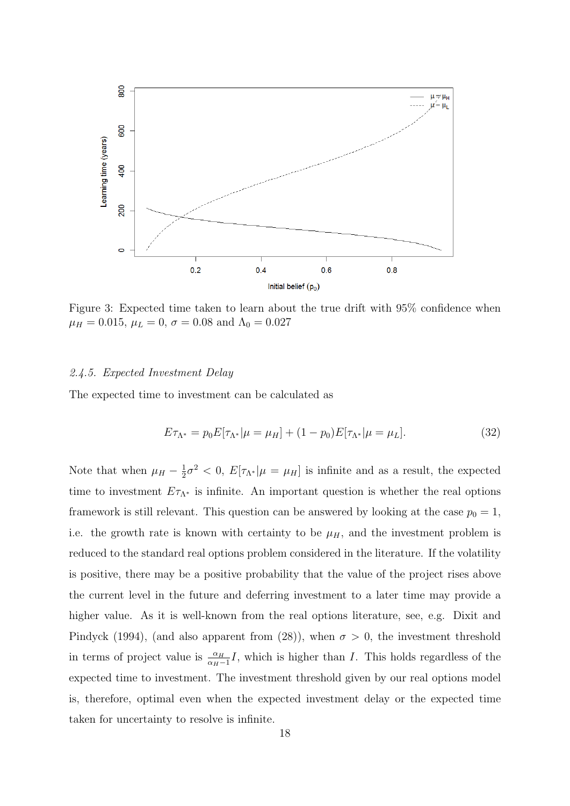

Figure 3: Expected time taken to learn about the true drift with 95% confidence when  $\mu_H = 0.015, \, \mu_L = 0, \, \sigma = 0.08$  and  $\Lambda_0 = 0.027$ 

#### 2.4.5. Expected Investment Delay

The expected time to investment can be calculated as

$$
E\tau_{\Lambda^*} = p_0 E[\tau_{\Lambda^*} | \mu = \mu_H] + (1 - p_0)E[\tau_{\Lambda^*} | \mu = \mu_L]. \tag{32}
$$

Note that when  $\mu_H - \frac{1}{2}$  $\frac{1}{2}\sigma^2 < 0$ ,  $E[\tau_{\Lambda^*}|\mu = \mu_H]$  is infinite and as a result, the expected time to investment  $E\tau_{\Lambda^*}$  is infinite. An important question is whether the real options framework is still relevant. This question can be answered by looking at the case  $p_0 = 1$ , i.e. the growth rate is known with certainty to be  $\mu$ <sub>H</sub>, and the investment problem is reduced to the standard real options problem considered in the literature. If the volatility is positive, there may be a positive probability that the value of the project rises above the current level in the future and deferring investment to a later time may provide a higher value. As it is well-known from the real options literature, see, e.g. Dixit and Pindyck (1994), (and also apparent from (28)), when  $\sigma > 0$ , the investment threshold in terms of project value is  $\frac{\alpha_H}{\alpha_H-1}I$ , which is higher than I. This holds regardless of the expected time to investment. The investment threshold given by our real options model is, therefore, optimal even when the expected investment delay or the expected time taken for uncertainty to resolve is infinite.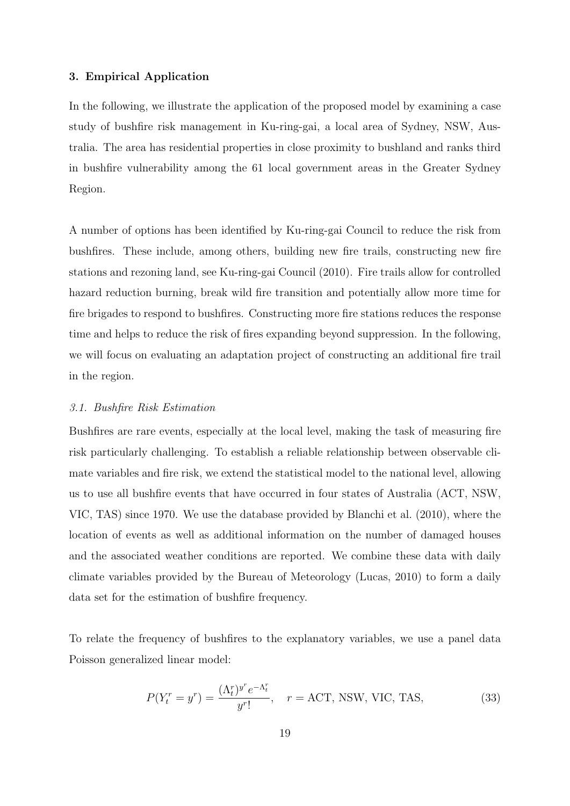#### 3. Empirical Application

In the following, we illustrate the application of the proposed model by examining a case study of bushfire risk management in Ku-ring-gai, a local area of Sydney, NSW, Australia. The area has residential properties in close proximity to bushland and ranks third in bushfire vulnerability among the 61 local government areas in the Greater Sydney Region.

A number of options has been identified by Ku-ring-gai Council to reduce the risk from bushfires. These include, among others, building new fire trails, constructing new fire stations and rezoning land, see Ku-ring-gai Council (2010). Fire trails allow for controlled hazard reduction burning, break wild fire transition and potentially allow more time for fire brigades to respond to bushfires. Constructing more fire stations reduces the response time and helps to reduce the risk of fires expanding beyond suppression. In the following, we will focus on evaluating an adaptation project of constructing an additional fire trail in the region.

#### 3.1. Bushfire Risk Estimation

Bushfires are rare events, especially at the local level, making the task of measuring fire risk particularly challenging. To establish a reliable relationship between observable climate variables and fire risk, we extend the statistical model to the national level, allowing us to use all bushfire events that have occurred in four states of Australia (ACT, NSW, VIC, TAS) since 1970. We use the database provided by Blanchi et al. (2010), where the location of events as well as additional information on the number of damaged houses and the associated weather conditions are reported. We combine these data with daily climate variables provided by the Bureau of Meteorology (Lucas, 2010) to form a daily data set for the estimation of bushfire frequency.

To relate the frequency of bushfires to the explanatory variables, we use a panel data Poisson generalized linear model:

$$
P(Y_t^r = y^r) = \frac{(\Lambda_t^r)^{y^r} e^{-\Lambda_t^r}}{y^r!}, \quad r = \text{ACT, NSW, VIC, TAS},
$$
 (33)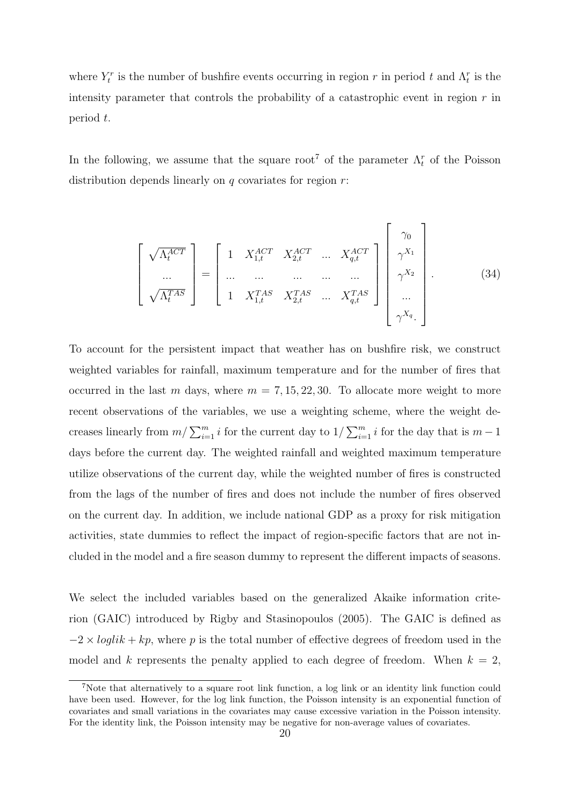where  $Y_t^r$  is the number of bushfire events occurring in region r in period t and  $\Lambda_t^r$  is the intensity parameter that controls the probability of a catastrophic event in region  $r$  in period t.

In the following, we assume that the square root<sup>7</sup> of the parameter  $\Lambda_t^r$  of the Poisson distribution depends linearly on  $q$  covariates for region  $r$ :

$$
\begin{bmatrix}\n\sqrt{\Lambda_t^{ACT}} \\
\vdots \\
\sqrt{\Lambda_t^{TAS}}\n\end{bmatrix} = \begin{bmatrix}\n1 & X_{1,t}^{ACT} & X_{2,t}^{ACT} & \cdots & X_{q,t}^{ACT} \\
\vdots & \vdots & \ddots & \vdots \\
1 & X_{1,t}^{TAS} & X_{2,t}^{TAS} & \cdots & X_{q,t}^{TAS}\n\end{bmatrix} \begin{bmatrix}\n\gamma_0 \\
\gamma_1 \\
\gamma_2 \\
\vdots \\
\gamma_1\n\end{bmatrix} .
$$
\n(34)

To account for the persistent impact that weather has on bushfire risk, we construct weighted variables for rainfall, maximum temperature and for the number of fires that occurred in the last m days, where  $m = 7, 15, 22, 30$ . To allocate more weight to more recent observations of the variables, we use a weighting scheme, where the weight decreases linearly from  $m/\sum_{i=1}^m i$  for the current day to  $1/\sum_{i=1}^m i$  for the day that is  $m-1$ days before the current day. The weighted rainfall and weighted maximum temperature utilize observations of the current day, while the weighted number of fires is constructed from the lags of the number of fires and does not include the number of fires observed on the current day. In addition, we include national GDP as a proxy for risk mitigation activities, state dummies to reflect the impact of region-specific factors that are not included in the model and a fire season dummy to represent the different impacts of seasons.

We select the included variables based on the generalized Akaike information criterion (GAIC) introduced by Rigby and Stasinopoulos (2005). The GAIC is defined as  $-2 \times loglik + kp$ , where p is the total number of effective degrees of freedom used in the model and k represents the penalty applied to each degree of freedom. When  $k = 2$ ,

<sup>7</sup>Note that alternatively to a square root link function, a log link or an identity link function could have been used. However, for the log link function, the Poisson intensity is an exponential function of covariates and small variations in the covariates may cause excessive variation in the Poisson intensity. For the identity link, the Poisson intensity may be negative for non-average values of covariates.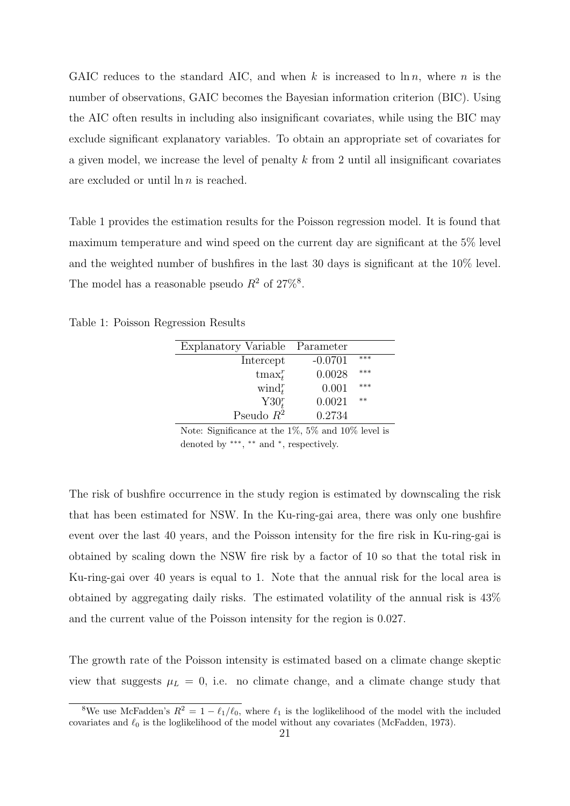GAIC reduces to the standard AIC, and when k is increased to  $\ln n$ , where n is the number of observations, GAIC becomes the Bayesian information criterion (BIC). Using the AIC often results in including also insignificant covariates, while using the BIC may exclude significant explanatory variables. To obtain an appropriate set of covariates for a given model, we increase the level of penalty  $k$  from 2 until all insignificant covariates are excluded or until  $\ln n$  is reached.

Table 1 provides the estimation results for the Poisson regression model. It is found that maximum temperature and wind speed on the current day are significant at the 5% level and the weighted number of bushfires in the last 30 days is significant at the 10% level. The model has a reasonable pseudo  $R^2$  of  $27\%$ <sup>8</sup>.

Table 1: Poisson Regression Results

| Explanatory Variable Parameter |           |      |
|--------------------------------|-----------|------|
| Intercept                      | $-0.0701$ | ***  |
| $t$ max $_i^r$                 | 0.0028    | ***  |
| wind <sup>r</sup>              | 0.001     | ***  |
| Y30 <sub>t</sub> <sup>r</sup>  | 0.0021    | $**$ |
| Pseudo $\mathbb{R}^2$          | 0.2734    |      |

Note: Significance at the 1%, 5% and 10% level is denoted by \*\*\*, \*\* and \*, respectively.

The risk of bushfire occurrence in the study region is estimated by downscaling the risk that has been estimated for NSW. In the Ku-ring-gai area, there was only one bushfire event over the last 40 years, and the Poisson intensity for the fire risk in Ku-ring-gai is obtained by scaling down the NSW fire risk by a factor of 10 so that the total risk in Ku-ring-gai over 40 years is equal to 1. Note that the annual risk for the local area is obtained by aggregating daily risks. The estimated volatility of the annual risk is 43% and the current value of the Poisson intensity for the region is 0.027.

The growth rate of the Poisson intensity is estimated based on a climate change skeptic view that suggests  $\mu_L = 0$ , i.e. no climate change, and a climate change study that

<sup>&</sup>lt;sup>8</sup>We use McFadden's  $R^2 = 1 - \ell_1/\ell_0$ , where  $\ell_1$  is the loglikelihood of the model with the included covariates and  $\ell_0$  is the loglikelihood of the model without any covariates (McFadden, 1973).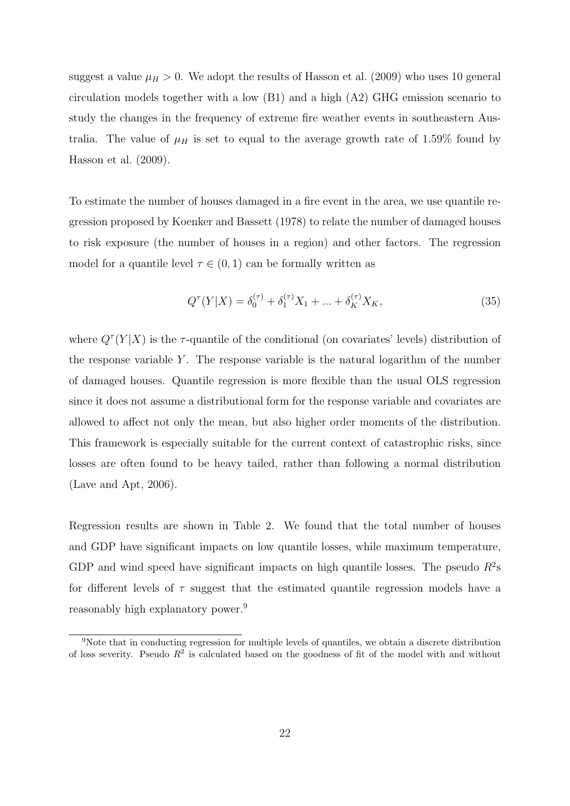suggest a value  $\mu_H > 0$ . We adopt the results of Hasson et al. (2009) who uses 10 general circulation models together with a low (B1) and a high (A2) GHG emission scenario to study the changes in the frequency of extreme fire weather events in southeastern Australia. The value of  $\mu$ <sub>H</sub> is set to equal to the average growth rate of 1.59% found by Hasson et al. (2009).

To estimate the number of houses damaged in a fire event in the area, we use quantile regression proposed by Koenker and Bassett (1978) to relate the number of damaged houses to risk exposure (the number of houses in a region) and other factors. The regression model for a quantile level  $\tau \in (0,1)$  can be formally written as

$$
Q^{\tau}(Y|X) = \delta_0^{(\tau)} + \delta_1^{(\tau)}X_1 + \dots + \delta_K^{(\tau)}X_K,
$$
\n(35)

where  $Q^{\tau}(Y|X)$  is the  $\tau$ -quantile of the conditional (on covariates' levels) distribution of the response variable Y. The response variable is the natural logarithm of the number of damaged houses. Quantile regression is more flexible than the usual OLS regression since it does not assume a distributional form for the response variable and covariates are allowed to affect not only the mean, but also higher order moments of the distribution. This framework is especially suitable for the current context of catastrophic risks, since losses are often found to be heavy tailed, rather than following a normal distribution (Lave and Apt, 2006).

Regression results are shown in Table 2. We found that the total number of houses and GDP have significant impacts on low quantile losses, while maximum temperature, GDP and wind speed have significant impacts on high quantile losses. The pseudo  $R^2$ s for different levels of  $\tau$  suggest that the estimated quantile regression models have a reasonably high explanatory power.<sup>9</sup>

<sup>9</sup>Note that in conducting regression for multiple levels of quantiles, we obtain a discrete distribution of loss severity. Pseudo  $R^2$  is calculated based on the goodness of fit of the model with and without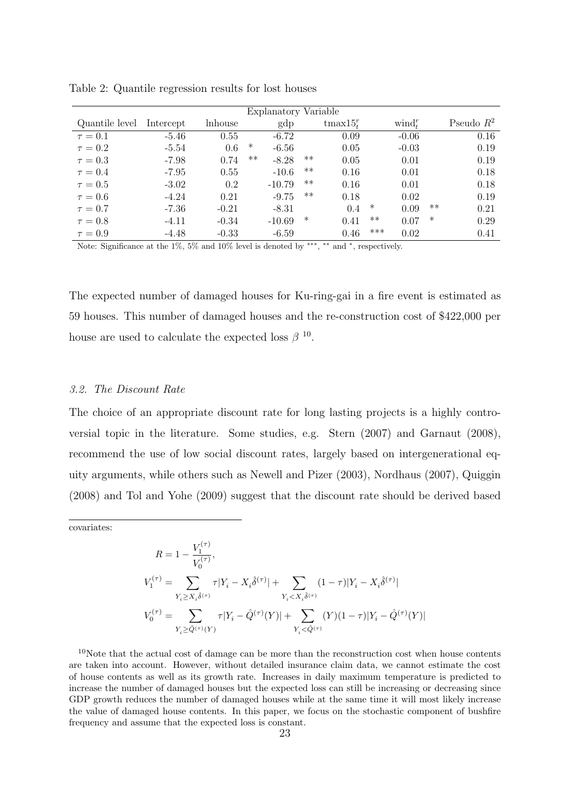| Explanatory Variable |           |         |      |          |       |             |       |                   |        |              |
|----------------------|-----------|---------|------|----------|-------|-------------|-------|-------------------|--------|--------------|
| Quantile level       | Intercept | lnhouse |      | gdp      |       | tmax $15tr$ |       | $\text{wind}_t^r$ |        | Pseudo $R^2$ |
| $\tau = 0.1$         | $-5.46$   | 0.55    |      | $-6.72$  |       | 0.09        |       | $-0.06$           |        | 0.16         |
| $\tau = 0.2$         | $-5.54$   | 0.6     | ∗    | $-6.56$  |       | 0.05        |       | $-0.03$           |        | 0.19         |
| $\tau = 0.3$         | $-7.98$   | 0.74    | $**$ | $-8.28$  | $***$ | 0.05        |       | 0.01              |        | 0.19         |
| $\tau = 0.4$         | $-7.95$   | 0.55    |      | $-10.6$  | $***$ | 0.16        |       | 0.01              |        | 0.18         |
| $\tau = 0.5$         | $-3.02$   | 0.2     |      | $-10.79$ | $***$ | 0.16        |       | 0.01              |        | 0.18         |
| $\tau = 0.6$         | $-4.24$   | 0.21    |      | $-9.75$  | $***$ | 0.18        |       | 0.02              |        | 0.19         |
| $\tau = 0.7$         | -7.36     | $-0.21$ |      | $-8.31$  |       | 0.4         | ∗     | 0.09              | $***$  | 0.21         |
| $\tau = 0.8$         | $-4.11$   | $-0.34$ |      | $-10.69$ | ∗     | 0.41        | $***$ | 0.07              | $\ast$ | 0.29         |
| $\tau = 0.9$         | $-4.48$   | $-0.33$ |      | $-6.59$  |       | 0.46        | ***   | 0.02              |        | 0.41         |

Table 2: Quantile regression results for lost houses

Note: Significance at the 1%, 5% and 10% level is denoted by \*\*\*, \*\* and \*, respectively.

The expected number of damaged houses for Ku-ring-gai in a fire event is estimated as 59 houses. This number of damaged houses and the re-construction cost of \$422,000 per house are used to calculate the expected loss  $\beta$ <sup>10</sup>.

# 3.2. The Discount Rate

The choice of an appropriate discount rate for long lasting projects is a highly controversial topic in the literature. Some studies, e.g. Stern (2007) and Garnaut (2008), recommend the use of low social discount rates, largely based on intergenerational equity arguments, while others such as Newell and Pizer (2003), Nordhaus (2007), Quiggin (2008) and Tol and Yohe (2009) suggest that the discount rate should be derived based

covariates:

 $R = 1 - \frac{V_1^{(\tau)}}{2\tau}$  $\frac{1}{V_0^{(\tau)}},$ 0  $V_1^{(\tau)} = \sum$  $Y_i \geq X_i \hat{\delta}^{(\tau)}$  $\tau|Y_i - X_i \hat{\delta}^{(\tau)}| + \sum$  $Y_i{<}X_i\hat{\delta}^{(\tau)}$  $(1-\tau)|Y_i-X_i\hat{\delta}^{(\tau)}|$  $V_0^{(\tau)} = \sum$  $Y_i \ge \hat{Q}^{(\tau)}(Y)$  $\tau|Y_i-\hat{Q}^{(\tau)}(Y)|+\sum$  $Y_i<\!\hat{Q}^{(\tau)}$  $(Y)(1-\tau)|Y_i-\hat{Q}^{(\tau)}(Y)|$ 

 $10$ Note that the actual cost of damage can be more than the reconstruction cost when house contents are taken into account. However, without detailed insurance claim data, we cannot estimate the cost of house contents as well as its growth rate. Increases in daily maximum temperature is predicted to increase the number of damaged houses but the expected loss can still be increasing or decreasing since GDP growth reduces the number of damaged houses while at the same time it will most likely increase the value of damaged house contents. In this paper, we focus on the stochastic component of bushfire frequency and assume that the expected loss is constant.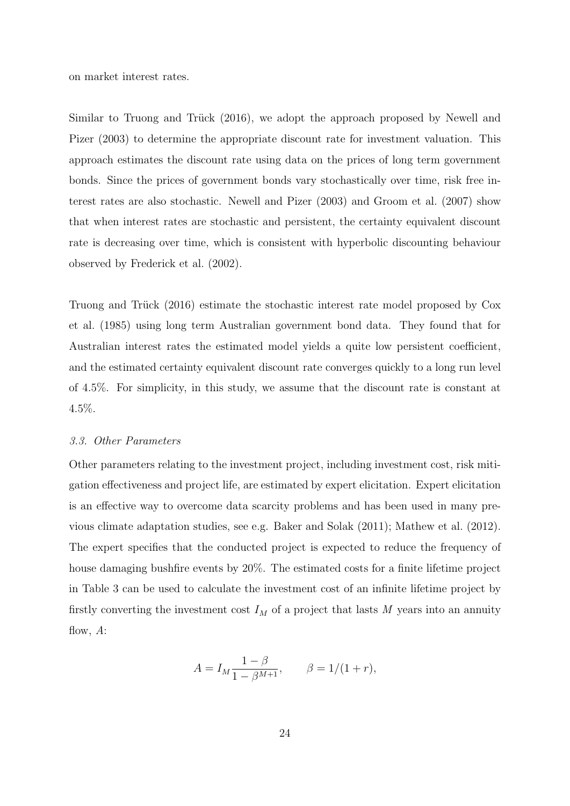on market interest rates.

Similar to Truong and Trück (2016), we adopt the approach proposed by Newell and Pizer (2003) to determine the appropriate discount rate for investment valuation. This approach estimates the discount rate using data on the prices of long term government bonds. Since the prices of government bonds vary stochastically over time, risk free interest rates are also stochastic. Newell and Pizer (2003) and Groom et al. (2007) show that when interest rates are stochastic and persistent, the certainty equivalent discount rate is decreasing over time, which is consistent with hyperbolic discounting behaviour observed by Frederick et al. (2002).

Truong and Trück (2016) estimate the stochastic interest rate model proposed by Cox et al. (1985) using long term Australian government bond data. They found that for Australian interest rates the estimated model yields a quite low persistent coefficient, and the estimated certainty equivalent discount rate converges quickly to a long run level of 4.5%. For simplicity, in this study, we assume that the discount rate is constant at 4.5%.

#### 3.3. Other Parameters

Other parameters relating to the investment project, including investment cost, risk mitigation effectiveness and project life, are estimated by expert elicitation. Expert elicitation is an effective way to overcome data scarcity problems and has been used in many previous climate adaptation studies, see e.g. Baker and Solak (2011); Mathew et al. (2012). The expert specifies that the conducted project is expected to reduce the frequency of house damaging bushfire events by 20%. The estimated costs for a finite lifetime project in Table 3 can be used to calculate the investment cost of an infinite lifetime project by firstly converting the investment cost  $I_M$  of a project that lasts M years into an annuity flow,  $A$ :

$$
A = I_M \frac{1 - \beta}{1 - \beta^{M+1}}, \qquad \beta = 1/(1+r),
$$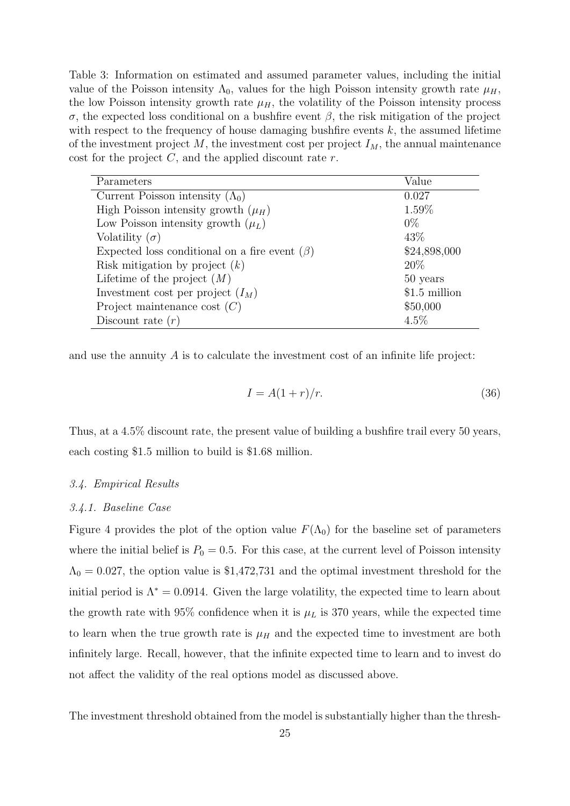Table 3: Information on estimated and assumed parameter values, including the initial value of the Poisson intensity  $\Lambda_0$ , values for the high Poisson intensity growth rate  $\mu_H$ , the low Poisson intensity growth rate  $\mu_H$ , the volatility of the Poisson intensity process σ, the expected loss conditional on a bushfire event β, the risk mitigation of the project with respect to the frequency of house damaging bushfire events  $k$ , the assumed lifetime of the investment project  $M$ , the investment cost per project  $I_M$ , the annual maintenance cost for the project  $C$ , and the applied discount rate  $r$ .

| Parameters                                          | Value          |
|-----------------------------------------------------|----------------|
| Current Poisson intensity $(\Lambda_0)$             | 0.027          |
| High Poisson intensity growth $(\mu_H)$             | 1.59%          |
| Low Poisson intensity growth $(\mu_L)$              | $0\%$          |
| Volatility $(\sigma)$                               | 43\%           |
| Expected loss conditional on a fire event $(\beta)$ | \$24,898,000   |
| Risk mitigation by project $(k)$                    | 20\%           |
| Lifetime of the project $(M)$                       | 50 years       |
| Investment cost per project $(I_M)$                 | $$1.5$ million |
| Project maintenance cost $(C)$                      | \$50,000       |
| Discount rate $(r)$                                 | $4.5\%$        |

and use the annuity  $\tilde{A}$  is to calculate the investment cost of an infinite life project:

$$
I = A(1+r)/r.
$$
\n(36)

Thus, at a 4.5% discount rate, the present value of building a bushfire trail every 50 years, each costing \$1.5 million to build is \$1.68 million.

#### 3.4. Empirical Results

# 3.4.1. Baseline Case

Figure 4 provides the plot of the option value  $F(\Lambda_0)$  for the baseline set of parameters where the initial belief is  $P_0 = 0.5$ . For this case, at the current level of Poisson intensity  $\Lambda_0 = 0.027$ , the option value is \$1,472,731 and the optimal investment threshold for the initial period is  $\Lambda^* = 0.0914$ . Given the large volatility, the expected time to learn about the growth rate with 95% confidence when it is  $\mu_L$  is 370 years, while the expected time to learn when the true growth rate is  $\mu$ <sub>H</sub> and the expected time to investment are both infinitely large. Recall, however, that the infinite expected time to learn and to invest do not affect the validity of the real options model as discussed above.

The investment threshold obtained from the model is substantially higher than the thresh-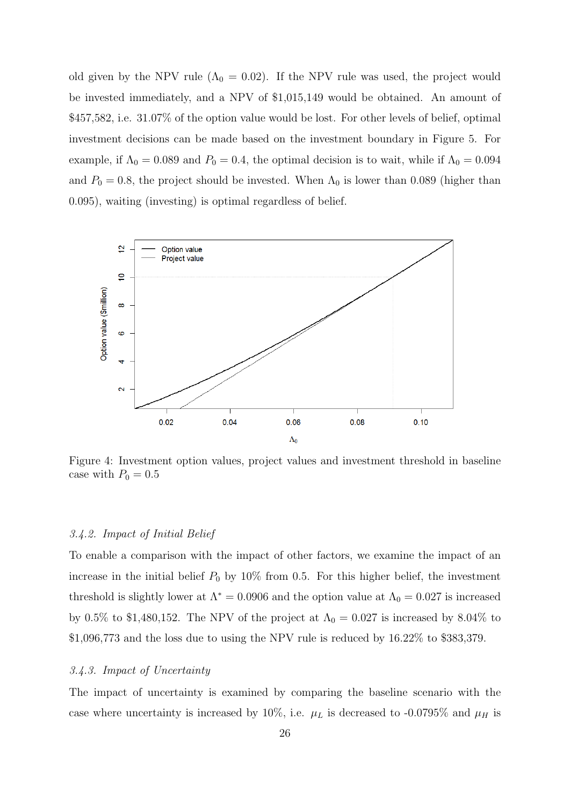old given by the NPV rule ( $\Lambda_0 = 0.02$ ). If the NPV rule was used, the project would be invested immediately, and a NPV of \$1,015,149 would be obtained. An amount of \$457,582, i.e. 31.07% of the option value would be lost. For other levels of belief, optimal investment decisions can be made based on the investment boundary in Figure 5. For example, if  $\Lambda_0 = 0.089$  and  $P_0 = 0.4$ , the optimal decision is to wait, while if  $\Lambda_0 = 0.094$ and  $P_0 = 0.8$ , the project should be invested. When  $\Lambda_0$  is lower than 0.089 (higher than 0.095), waiting (investing) is optimal regardless of belief.



Figure 4: Investment option values, project values and investment threshold in baseline case with  $P_0 = 0.5$ 

#### 3.4.2. Impact of Initial Belief

To enable a comparison with the impact of other factors, we examine the impact of an increase in the initial belief  $P_0$  by 10% from 0.5. For this higher belief, the investment threshold is slightly lower at  $\Lambda^* = 0.0906$  and the option value at  $\Lambda_0 = 0.027$  is increased by 0.5% to \$1,480,152. The NPV of the project at  $\Lambda_0 = 0.027$  is increased by 8.04% to \$1,096,773 and the loss due to using the NPV rule is reduced by 16.22% to \$383,379.

# 3.4.3. Impact of Uncertainty

The impact of uncertainty is examined by comparing the baseline scenario with the case where uncertainty is increased by 10%, i.e.  $\mu_L$  is decreased to -0.0795% and  $\mu_H$  is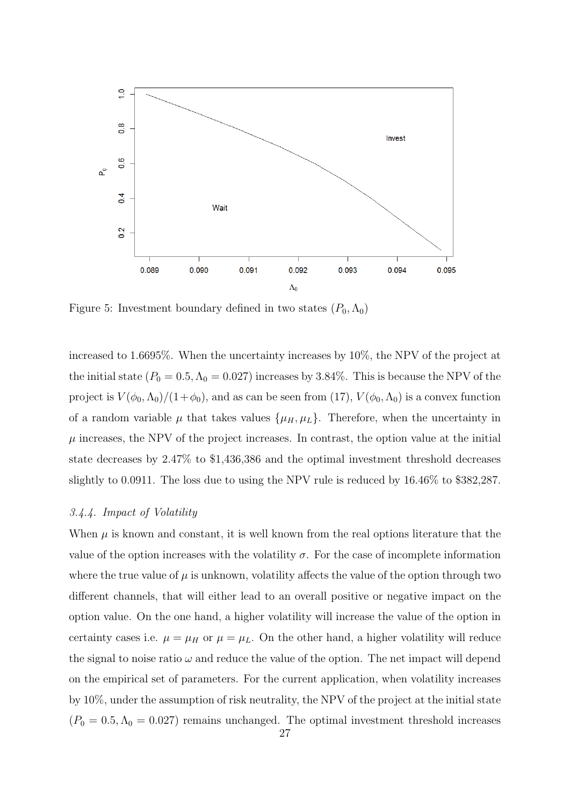

Figure 5: Investment boundary defined in two states  $(P_0, \Lambda_0)$ 

increased to 1.6695%. When the uncertainty increases by 10%, the NPV of the project at the initial state  $(P_0 = 0.5, \Lambda_0 = 0.027)$  increases by 3.84%. This is because the NPV of the project is  $V(\phi_0, \Lambda_0)/(1+\phi_0)$ , and as can be seen from (17),  $V(\phi_0, \Lambda_0)$  is a convex function of a random variable  $\mu$  that takes values  $\{\mu_H, \mu_L\}$ . Therefore, when the uncertainty in  $\mu$  increases, the NPV of the project increases. In contrast, the option value at the initial state decreases by 2.47% to \$1,436,386 and the optimal investment threshold decreases slightly to 0.0911. The loss due to using the NPV rule is reduced by 16.46% to \$382,287.

# 3.4.4. Impact of Volatility

When  $\mu$  is known and constant, it is well known from the real options literature that the value of the option increases with the volatility  $\sigma$ . For the case of incomplete information where the true value of  $\mu$  is unknown, volatility affects the value of the option through two different channels, that will either lead to an overall positive or negative impact on the option value. On the one hand, a higher volatility will increase the value of the option in certainty cases i.e.  $\mu = \mu_H$  or  $\mu = \mu_L$ . On the other hand, a higher volatility will reduce the signal to noise ratio  $\omega$  and reduce the value of the option. The net impact will depend on the empirical set of parameters. For the current application, when volatility increases by 10%, under the assumption of risk neutrality, the NPV of the project at the initial state  $(P_0 = 0.5, \Lambda_0 = 0.027)$  remains unchanged. The optimal investment threshold increases 27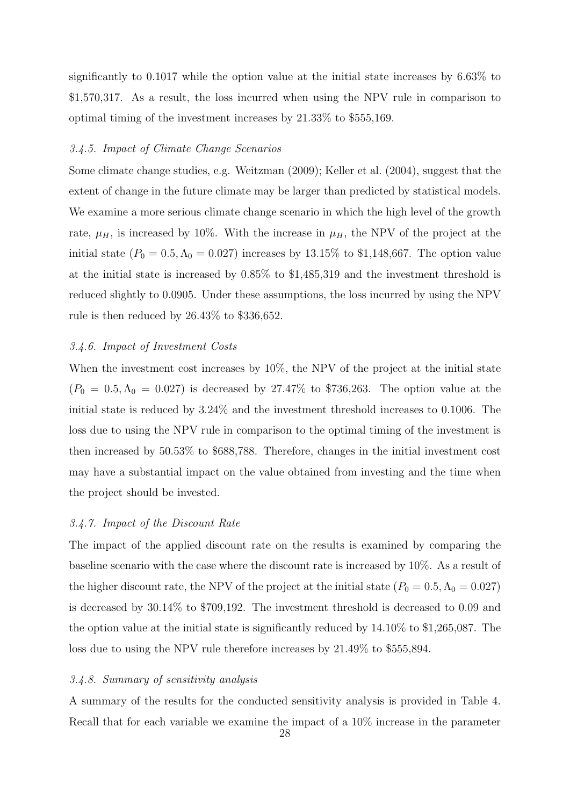significantly to 0.1017 while the option value at the initial state increases by 6.63% to \$1,570,317. As a result, the loss incurred when using the NPV rule in comparison to optimal timing of the investment increases by 21.33% to \$555,169.

# 3.4.5. Impact of Climate Change Scenarios

Some climate change studies, e.g. Weitzman (2009); Keller et al. (2004), suggest that the extent of change in the future climate may be larger than predicted by statistical models. We examine a more serious climate change scenario in which the high level of the growth rate,  $\mu_H$ , is increased by 10%. With the increase in  $\mu_H$ , the NPV of the project at the initial state  $(P_0 = 0.5, \Lambda_0 = 0.027)$  increases by 13.15% to \$1,148,667. The option value at the initial state is increased by 0.85% to \$1,485,319 and the investment threshold is reduced slightly to 0.0905. Under these assumptions, the loss incurred by using the NPV rule is then reduced by 26.43% to \$336,652.

# 3.4.6. Impact of Investment Costs

When the investment cost increases by  $10\%$ , the NPV of the project at the initial state  $(P_0 = 0.5, \Lambda_0 = 0.027)$  is decreased by 27.47% to \$736,263. The option value at the initial state is reduced by 3.24% and the investment threshold increases to 0.1006. The loss due to using the NPV rule in comparison to the optimal timing of the investment is then increased by 50.53% to \$688,788. Therefore, changes in the initial investment cost may have a substantial impact on the value obtained from investing and the time when the project should be invested.

#### 3.4.7. Impact of the Discount Rate

The impact of the applied discount rate on the results is examined by comparing the baseline scenario with the case where the discount rate is increased by 10%. As a result of the higher discount rate, the NPV of the project at the initial state ( $P_0 = 0.5, \Lambda_0 = 0.027$ ) is decreased by 30.14% to \$709,192. The investment threshold is decreased to 0.09 and the option value at the initial state is significantly reduced by 14.10% to \$1,265,087. The loss due to using the NPV rule therefore increases by 21.49% to \$555,894.

#### 3.4.8. Summary of sensitivity analysis

A summary of the results for the conducted sensitivity analysis is provided in Table 4. Recall that for each variable we examine the impact of a 10% increase in the parameter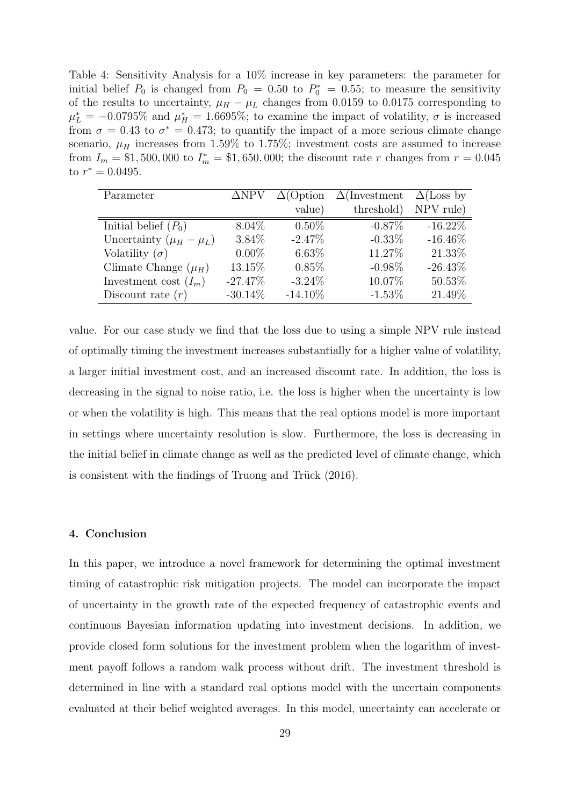Table 4: Sensitivity Analysis for a 10% increase in key parameters: the parameter for initial belief  $P_0$  is changed from  $P_0 = 0.50$  to  $P_0^* = 0.55$ ; to measure the sensitivity of the results to uncertainty,  $\mu_H - \mu_L$  changes from 0.0159 to 0.0175 corresponding to  $\mu_L^* = -0.0795\%$  and  $\mu_H^* = 1.6695\%$ ; to examine the impact of volatility,  $\sigma$  is increased from  $\sigma = 0.43$  to  $\sigma^* = 0.473$ ; to quantify the impact of a more serious climate change scenario,  $\mu$ <sub>H</sub> increases from 1.59% to 1.75%; investment costs are assumed to increase from  $I_m = $1,500,000$  to  $I_m^* = $1,650,000$ ; the discount rate r changes from  $r = 0.045$ to  $r^* = 0.0495$ .

| Parameter                     | $\Delta$ NPV | $\Delta$ (Option | $\Delta$ (Investment | $\Delta$ (Loss by |
|-------------------------------|--------------|------------------|----------------------|-------------------|
|                               |              | value)           | threshold)           | NPV rule)         |
| Initial belief $(P_0)$        | $8.04\%$     | $0.50\%$         | $-0.87\%$            | $-16.22\%$        |
| Uncertainty $(\mu_H - \mu_L)$ | 3.84\%       | $-2.47\%$        | $-0.33\%$            | $-16.46\%$        |
| Volatility $(\sigma)$         | $0.00\%$     | $6.63\%$         | 11.27\%              | 21.33%            |
| Climate Change $(\mu_H)$      | 13.15%       | $0.85\%$         | $-0.98\%$            | $-26.43\%$        |
| Investment cost $(I_m)$       | $-27.47\%$   | $-3.24\%$        | 10.07%               | 50.53%            |
| Discount rate $(r)$           | $-30.14\%$   | $-14.10\%$       | $-1.53\%$            | 21.49%            |

value. For our case study we find that the loss due to using a simple NPV rule instead of optimally timing the investment increases substantially for a higher value of volatility, a larger initial investment cost, and an increased discount rate. In addition, the loss is decreasing in the signal to noise ratio, i.e. the loss is higher when the uncertainty is low or when the volatility is high. This means that the real options model is more important in settings where uncertainty resolution is slow. Furthermore, the loss is decreasing in the initial belief in climate change as well as the predicted level of climate change, which is consistent with the findings of Truong and Trück  $(2016)$ .

#### 4. Conclusion

In this paper, we introduce a novel framework for determining the optimal investment timing of catastrophic risk mitigation projects. The model can incorporate the impact of uncertainty in the growth rate of the expected frequency of catastrophic events and continuous Bayesian information updating into investment decisions. In addition, we provide closed form solutions for the investment problem when the logarithm of investment payoff follows a random walk process without drift. The investment threshold is determined in line with a standard real options model with the uncertain components evaluated at their belief weighted averages. In this model, uncertainty can accelerate or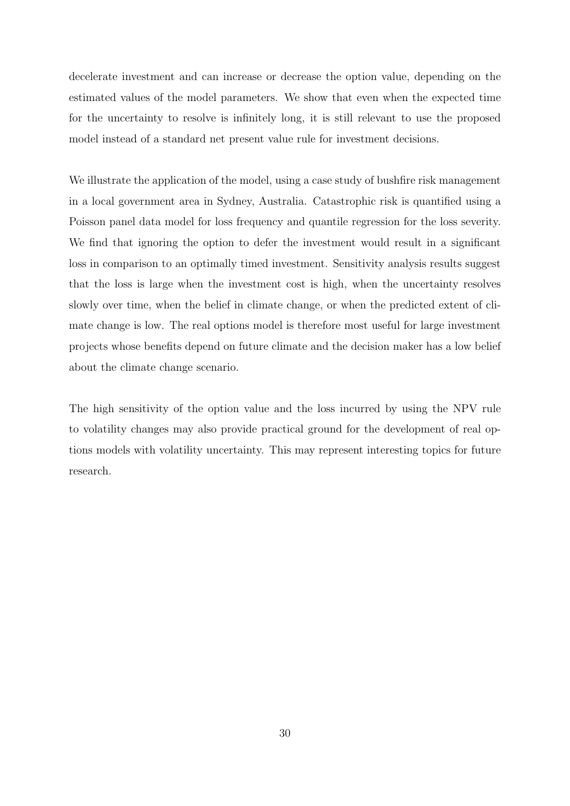decelerate investment and can increase or decrease the option value, depending on the estimated values of the model parameters. We show that even when the expected time for the uncertainty to resolve is infinitely long, it is still relevant to use the proposed model instead of a standard net present value rule for investment decisions.

We illustrate the application of the model, using a case study of bushfire risk management in a local government area in Sydney, Australia. Catastrophic risk is quantified using a Poisson panel data model for loss frequency and quantile regression for the loss severity. We find that ignoring the option to defer the investment would result in a significant loss in comparison to an optimally timed investment. Sensitivity analysis results suggest that the loss is large when the investment cost is high, when the uncertainty resolves slowly over time, when the belief in climate change, or when the predicted extent of climate change is low. The real options model is therefore most useful for large investment projects whose benefits depend on future climate and the decision maker has a low belief about the climate change scenario.

The high sensitivity of the option value and the loss incurred by using the NPV rule to volatility changes may also provide practical ground for the development of real options models with volatility uncertainty. This may represent interesting topics for future research.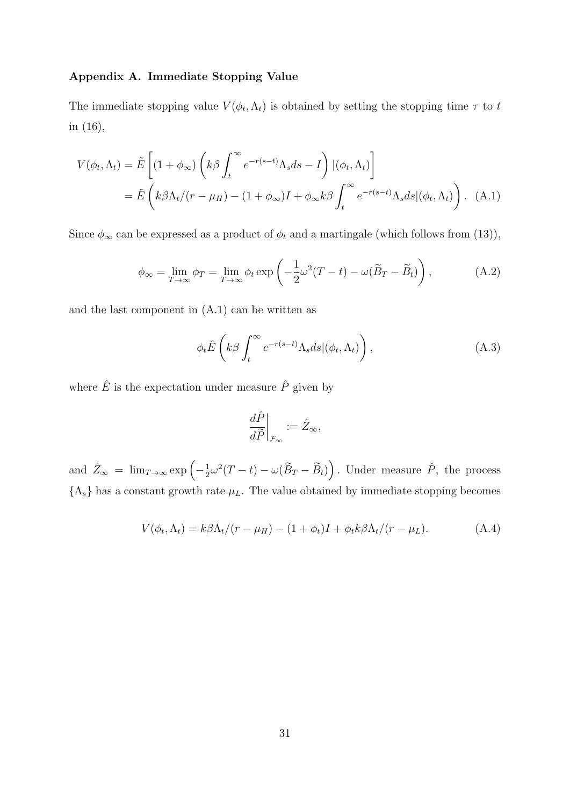# Appendix A. Immediate Stopping Value

The immediate stopping value  $V(\phi_t, \Lambda_t)$  is obtained by setting the stopping time  $\tau$  to t in (16),

$$
V(\phi_t, \Lambda_t) = \tilde{E}\left[ (1 + \phi_\infty) \left( k\beta \int_t^\infty e^{-r(s-t)} \Lambda_s ds - I \right) |(\phi_t, \Lambda_t) \right]
$$
  
=  $\tilde{E}\left( k\beta \Lambda_t / (r - \mu_H) - (1 + \phi_\infty)I + \phi_\infty k\beta \int_t^\infty e^{-r(s-t)} \Lambda_s ds |(\phi_t, \Lambda_t) \right).$  (A.1)

Since  $\phi_{\infty}$  can be expressed as a product of  $\phi_t$  and a martingale (which follows from (13)),

$$
\phi_{\infty} = \lim_{T \to \infty} \phi_T = \lim_{T \to \infty} \phi_t \exp\left(-\frac{1}{2}\omega^2(T-t) - \omega(\widetilde{B}_T - \widetilde{B}_t)\right),\tag{A.2}
$$

and the last component in (A.1) can be written as

$$
\phi_t \hat{E} \left( k \beta \int_t^{\infty} e^{-r(s-t)} \Lambda_s ds | (\phi_t, \Lambda_t) \right), \tag{A.3}
$$

where  $\hat{E}$  is the expectation under measure  $\hat{P}$  given by

$$
\left. \frac{d\hat{P}}{d\widetilde{P}} \right|_{\mathcal{F}_{\infty}} := \hat{Z}_{\infty},
$$

and  $\hat{Z}_{\infty} = \lim_{T \to \infty} \exp \left(-\frac{1}{2}\right)$  $\frac{1}{2}\omega^2(T-t) - \omega(\widetilde{B}_T - \widetilde{B}_t)\right)$ . Under measure  $\hat{P}$ , the process  $\{\Lambda_s\}$  has a constant growth rate  $\mu_L$ . The value obtained by immediate stopping becomes

$$
V(\phi_t, \Lambda_t) = k\beta \Lambda_t / (r - \mu_H) - (1 + \phi_t)I + \phi_t k \beta \Lambda_t / (r - \mu_L). \tag{A.4}
$$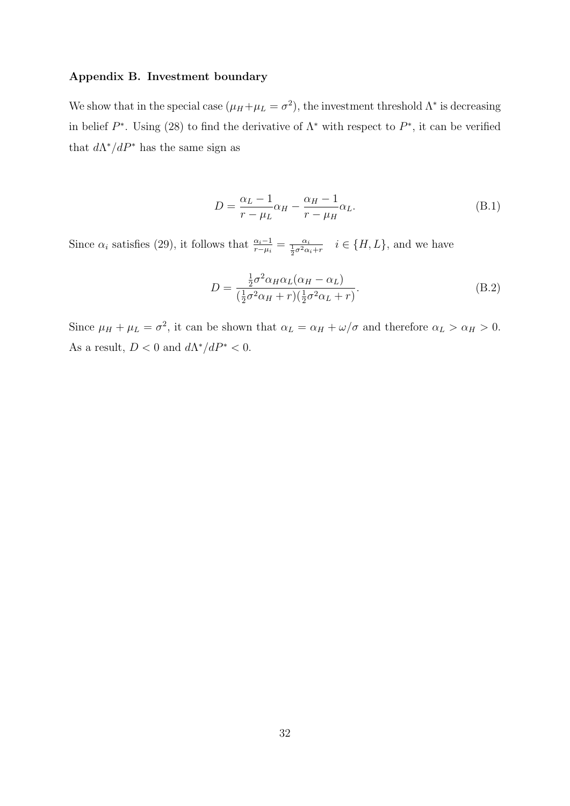# Appendix B. Investment boundary

We show that in the special case  $(\mu_H + \mu_L = \sigma^2)$ , the investment threshold  $\Lambda^*$  is decreasing in belief  $P^*$ . Using (28) to find the derivative of  $\Lambda^*$  with respect to  $P^*$ , it can be verified that  $d\Lambda^*/dP^*$  has the same sign as

$$
D = \frac{\alpha_L - 1}{r - \mu_L} \alpha_H - \frac{\alpha_H - 1}{r - \mu_H} \alpha_L.
$$
 (B.1)

Since  $\alpha_i$  satisfies (29), it follows that  $\frac{\alpha_i-1}{r-\mu_i} = \frac{\alpha_i}{\frac{1}{2}\sigma^2\alpha_i+r}$   $i \in \{H, L\}$ , and we have

$$
D = \frac{\frac{1}{2}\sigma^2 \alpha_H \alpha_L (\alpha_H - \alpha_L)}{(\frac{1}{2}\sigma^2 \alpha_H + r)(\frac{1}{2}\sigma^2 \alpha_L + r)}.
$$
(B.2)

Since  $\mu_H + \mu_L = \sigma^2$ , it can be shown that  $\alpha_L = \alpha_H + \omega/\sigma$  and therefore  $\alpha_L > \alpha_H > 0$ . As a result,  $D < 0$  and  $d\Lambda^*/dP^* < 0$ .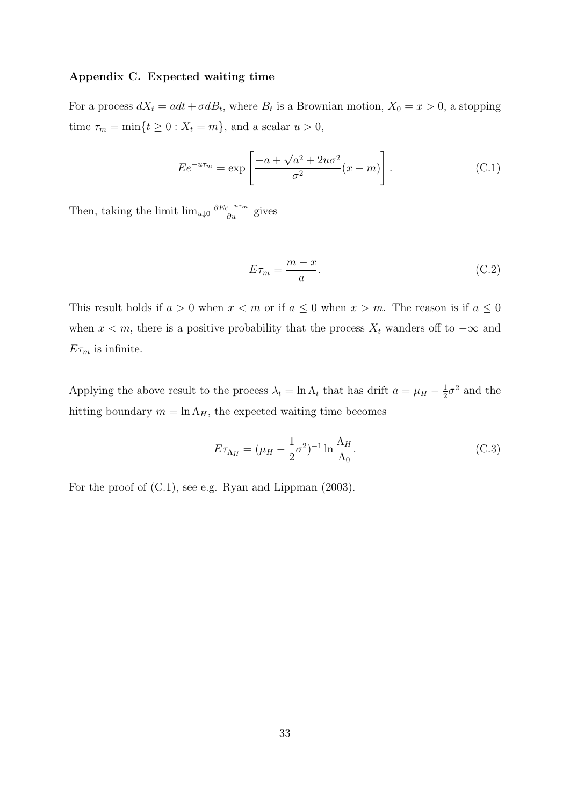# Appendix C. Expected waiting time

For a process  $dX_t = adt + \sigma dB_t$ , where  $B_t$  is a Brownian motion,  $X_0 = x > 0$ , a stopping time  $\tau_m = \min\{t \ge 0 : X_t = m\}$ , and a scalar  $u > 0$ ,

$$
E e^{-u\tau_m} = \exp\left[\frac{-a + \sqrt{a^2 + 2u\sigma^2}}{\sigma^2}(x - m)\right].
$$
 (C.1)

Then, taking the limit  $\lim_{u\downarrow 0} \frac{\partial E e^{-u\tau_m}}{\partial u}$  gives

$$
E\tau_m = \frac{m-x}{a}.\tag{C.2}
$$

This result holds if  $a > 0$  when  $x < m$  or if  $a \le 0$  when  $x > m$ . The reason is if  $a \le 0$ when  $x < m$ , there is a positive probability that the process  $X_t$  wanders off to  $-\infty$  and  $E\tau_m$  is infinite.

Applying the above result to the process  $\lambda_t = \ln \Lambda_t$  that has drift  $a = \mu_H - \frac{1}{2}$  $\frac{1}{2}\sigma^2$  and the hitting boundary  $m = \ln \Lambda_H$ , the expected waiting time becomes

$$
E\tau_{\Lambda_H} = (\mu_H - \frac{1}{2}\sigma^2)^{-1} \ln \frac{\Lambda_H}{\Lambda_0}.
$$
 (C.3)

For the proof of (C.1), see e.g. Ryan and Lippman (2003).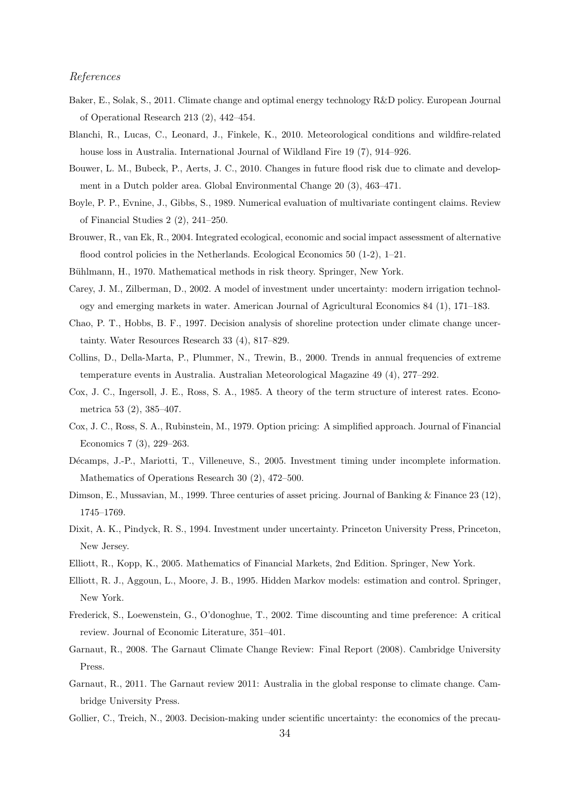## References

- Baker, E., Solak, S., 2011. Climate change and optimal energy technology R&D policy. European Journal of Operational Research 213 (2), 442–454.
- Blanchi, R., Lucas, C., Leonard, J., Finkele, K., 2010. Meteorological conditions and wildfire-related house loss in Australia. International Journal of Wildland Fire 19 (7), 914–926.
- Bouwer, L. M., Bubeck, P., Aerts, J. C., 2010. Changes in future flood risk due to climate and development in a Dutch polder area. Global Environmental Change 20 (3), 463–471.
- Boyle, P. P., Evnine, J., Gibbs, S., 1989. Numerical evaluation of multivariate contingent claims. Review of Financial Studies 2 (2), 241–250.
- Brouwer, R., van Ek, R., 2004. Integrated ecological, economic and social impact assessment of alternative flood control policies in the Netherlands. Ecological Economics 50 (1-2), 1–21.
- Bühlmann, H., 1970. Mathematical methods in risk theory. Springer, New York.
- Carey, J. M., Zilberman, D., 2002. A model of investment under uncertainty: modern irrigation technology and emerging markets in water. American Journal of Agricultural Economics 84 (1), 171–183.
- Chao, P. T., Hobbs, B. F., 1997. Decision analysis of shoreline protection under climate change uncertainty. Water Resources Research 33 (4), 817–829.
- Collins, D., Della-Marta, P., Plummer, N., Trewin, B., 2000. Trends in annual frequencies of extreme temperature events in Australia. Australian Meteorological Magazine 49 (4), 277–292.
- Cox, J. C., Ingersoll, J. E., Ross, S. A., 1985. A theory of the term structure of interest rates. Econometrica 53 (2), 385–407.
- Cox, J. C., Ross, S. A., Rubinstein, M., 1979. Option pricing: A simplified approach. Journal of Financial Economics 7 (3), 229–263.
- Décamps, J.-P., Mariotti, T., Villeneuve, S., 2005. Investment timing under incomplete information. Mathematics of Operations Research 30 (2), 472–500.
- Dimson, E., Mussavian, M., 1999. Three centuries of asset pricing. Journal of Banking & Finance 23 (12), 1745–1769.
- Dixit, A. K., Pindyck, R. S., 1994. Investment under uncertainty. Princeton University Press, Princeton, New Jersey.
- Elliott, R., Kopp, K., 2005. Mathematics of Financial Markets, 2nd Edition. Springer, New York.
- Elliott, R. J., Aggoun, L., Moore, J. B., 1995. Hidden Markov models: estimation and control. Springer, New York.
- Frederick, S., Loewenstein, G., O'donoghue, T., 2002. Time discounting and time preference: A critical review. Journal of Economic Literature, 351–401.
- Garnaut, R., 2008. The Garnaut Climate Change Review: Final Report (2008). Cambridge University Press.
- Garnaut, R., 2011. The Garnaut review 2011: Australia in the global response to climate change. Cambridge University Press.
- Gollier, C., Treich, N., 2003. Decision-making under scientific uncertainty: the economics of the precau-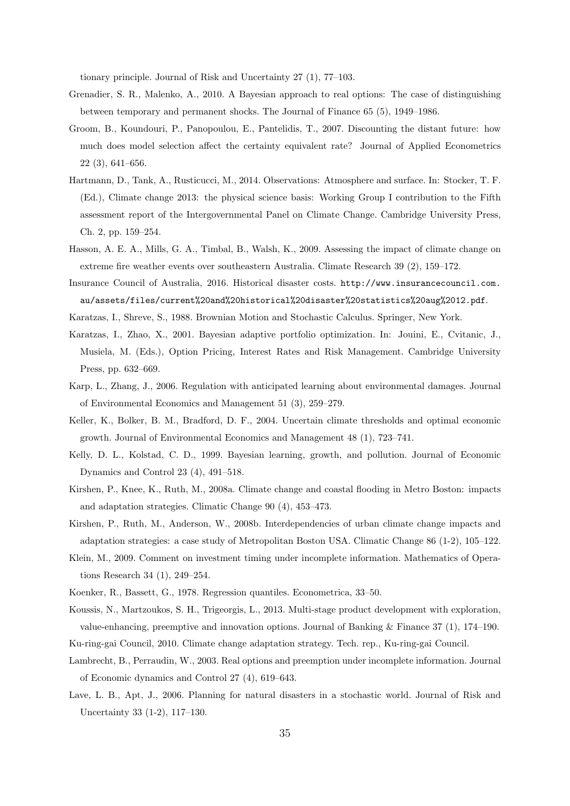tionary principle. Journal of Risk and Uncertainty 27 (1), 77–103.

- Grenadier, S. R., Malenko, A., 2010. A Bayesian approach to real options: The case of distinguishing between temporary and permanent shocks. The Journal of Finance 65 (5), 1949–1986.
- Groom, B., Koundouri, P., Panopoulou, E., Pantelidis, T., 2007. Discounting the distant future: how much does model selection affect the certainty equivalent rate? Journal of Applied Econometrics 22 (3), 641–656.
- Hartmann, D., Tank, A., Rusticucci, M., 2014. Observations: Atmosphere and surface. In: Stocker, T. F. (Ed.), Climate change 2013: the physical science basis: Working Group I contribution to the Fifth assessment report of the Intergovernmental Panel on Climate Change. Cambridge University Press, Ch. 2, pp. 159–254.
- Hasson, A. E. A., Mills, G. A., Timbal, B., Walsh, K., 2009. Assessing the impact of climate change on extreme fire weather events over southeastern Australia. Climate Research 39 (2), 159–172.

Insurance Council of Australia, 2016. Historical disaster costs. http://www.insurancecouncil.com. au/assets/files/current%20and%20historical%20disaster%20statistics%20aug%2012.pdf.

- Karatzas, I., Shreve, S., 1988. Brownian Motion and Stochastic Calculus. Springer, New York.
- Karatzas, I., Zhao, X., 2001. Bayesian adaptive portfolio optimization. In: Jouini, E., Cvitanic, J., Musiela, M. (Eds.), Option Pricing, Interest Rates and Risk Management. Cambridge University Press, pp. 632–669.
- Karp, L., Zhang, J., 2006. Regulation with anticipated learning about environmental damages. Journal of Environmental Economics and Management 51 (3), 259–279.
- Keller, K., Bolker, B. M., Bradford, D. F., 2004. Uncertain climate thresholds and optimal economic growth. Journal of Environmental Economics and Management 48 (1), 723–741.
- Kelly, D. L., Kolstad, C. D., 1999. Bayesian learning, growth, and pollution. Journal of Economic Dynamics and Control 23 (4), 491–518.
- Kirshen, P., Knee, K., Ruth, M., 2008a. Climate change and coastal flooding in Metro Boston: impacts and adaptation strategies. Climatic Change 90 (4), 453–473.
- Kirshen, P., Ruth, M., Anderson, W., 2008b. Interdependencies of urban climate change impacts and adaptation strategies: a case study of Metropolitan Boston USA. Climatic Change 86 (1-2), 105–122.
- Klein, M., 2009. Comment on investment timing under incomplete information. Mathematics of Operations Research 34 (1), 249–254.
- Koenker, R., Bassett, G., 1978. Regression quantiles. Econometrica, 33–50.
- Koussis, N., Martzoukos, S. H., Trigeorgis, L., 2013. Multi-stage product development with exploration, value-enhancing, preemptive and innovation options. Journal of Banking & Finance 37 (1), 174–190.
- Ku-ring-gai Council, 2010. Climate change adaptation strategy. Tech. rep., Ku-ring-gai Council.
- Lambrecht, B., Perraudin, W., 2003. Real options and preemption under incomplete information. Journal of Economic dynamics and Control 27 (4), 619–643.
- Lave, L. B., Apt, J., 2006. Planning for natural disasters in a stochastic world. Journal of Risk and Uncertainty 33 (1-2), 117–130.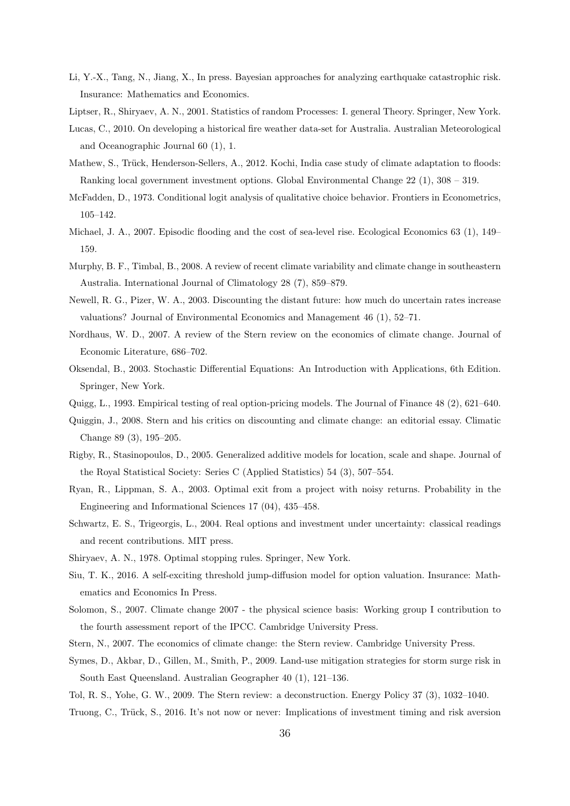- Li, Y.-X., Tang, N., Jiang, X., In press. Bayesian approaches for analyzing earthquake catastrophic risk. Insurance: Mathematics and Economics.
- Liptser, R., Shiryaev, A. N., 2001. Statistics of random Processes: I. general Theory. Springer, New York.
- Lucas, C., 2010. On developing a historical fire weather data-set for Australia. Australian Meteorological and Oceanographic Journal 60 (1), 1.
- Mathew, S., Trück, Henderson-Sellers, A., 2012. Kochi, India case study of climate adaptation to floods: Ranking local government investment options. Global Environmental Change 22 (1), 308 – 319.
- McFadden, D., 1973. Conditional logit analysis of qualitative choice behavior. Frontiers in Econometrics, 105–142.
- Michael, J. A., 2007. Episodic flooding and the cost of sea-level rise. Ecological Economics 63 (1), 149– 159.
- Murphy, B. F., Timbal, B., 2008. A review of recent climate variability and climate change in southeastern Australia. International Journal of Climatology 28 (7), 859–879.
- Newell, R. G., Pizer, W. A., 2003. Discounting the distant future: how much do uncertain rates increase valuations? Journal of Environmental Economics and Management 46 (1), 52–71.
- Nordhaus, W. D., 2007. A review of the Stern review on the economics of climate change. Journal of Economic Literature, 686–702.
- Oksendal, B., 2003. Stochastic Differential Equations: An Introduction with Applications, 6th Edition. Springer, New York.
- Quigg, L., 1993. Empirical testing of real option-pricing models. The Journal of Finance 48 (2), 621–640.
- Quiggin, J., 2008. Stern and his critics on discounting and climate change: an editorial essay. Climatic Change 89 (3), 195–205.
- Rigby, R., Stasinopoulos, D., 2005. Generalized additive models for location, scale and shape. Journal of the Royal Statistical Society: Series C (Applied Statistics) 54 (3), 507–554.
- Ryan, R., Lippman, S. A., 2003. Optimal exit from a project with noisy returns. Probability in the Engineering and Informational Sciences 17 (04), 435–458.
- Schwartz, E. S., Trigeorgis, L., 2004. Real options and investment under uncertainty: classical readings and recent contributions. MIT press.
- Shiryaev, A. N., 1978. Optimal stopping rules. Springer, New York.
- Siu, T. K., 2016. A self-exciting threshold jump-diffusion model for option valuation. Insurance: Mathematics and Economics In Press.
- Solomon, S., 2007. Climate change 2007 the physical science basis: Working group I contribution to the fourth assessment report of the IPCC. Cambridge University Press.
- Stern, N., 2007. The economics of climate change: the Stern review. Cambridge University Press.
- Symes, D., Akbar, D., Gillen, M., Smith, P., 2009. Land-use mitigation strategies for storm surge risk in South East Queensland. Australian Geographer 40 (1), 121–136.
- Tol, R. S., Yohe, G. W., 2009. The Stern review: a deconstruction. Energy Policy 37 (3), 1032–1040.
- Truong, C., Trück, S., 2016. It's not now or never: Implications of investment timing and risk aversion